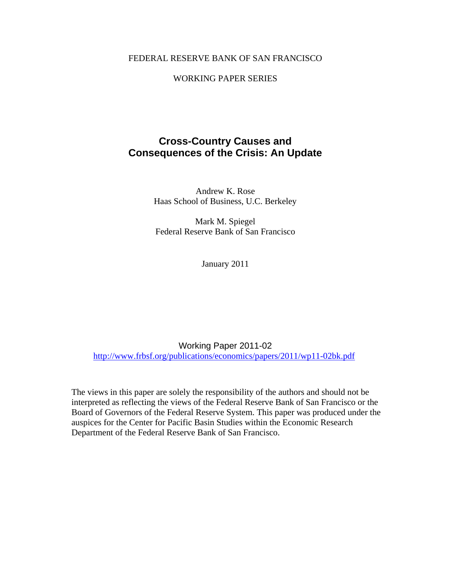# FEDERAL RESERVE BANK OF SAN FRANCISCO

## WORKING PAPER SERIES

# **Cross-Country Causes and Consequences of the Crisis: An Update**

Andrew K. Rose Haas School of Business, U.C. Berkeley

Mark M. Spiegel Federal Reserve Bank of San Francisco

January 2011

Working Paper 2011-02 http://www.frbsf.org/publications/economics/papers/2011/wp11-02bk.pdf

The views in this paper are solely the responsibility of the authors and should not be interpreted as reflecting the views of the Federal Reserve Bank of San Francisco or the Board of Governors of the Federal Reserve System. This paper was produced under the auspices for the Center for Pacific Basin Studies within the Economic Research Department of the Federal Reserve Bank of San Francisco.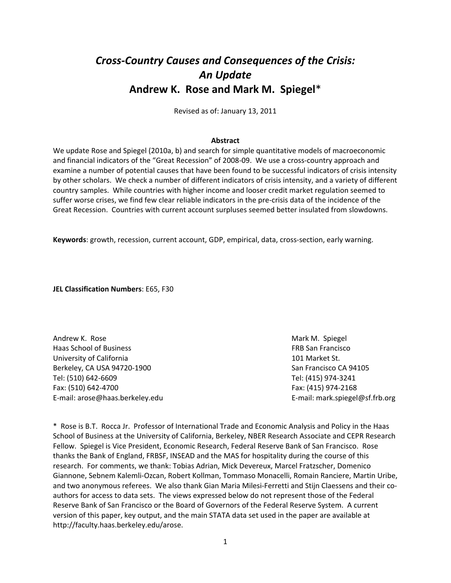# *Cross‐Country Causes and Consequences of the Crisis: An Update* **Andrew K. Rose and Mark M. Spiegel**\*

Revised as of: January 13, 2011

## **Abstract**

We update Rose and Spiegel (2010a, b) and search for simple quantitative models of macroeconomic and financial indicators of the "Great Recession" of 2008-09. We use a cross-country approach and examine a number of potential causes that have been found to be successful indicators of crisis intensity by other scholars. We check a number of different indicators of crisis intensity, and a variety of different country samples. While countries with higher income and looser credit market regulation seemed to suffer worse crises, we find few clear reliable indicators in the pre‐crisis data of the incidence of the Great Recession. Countries with current account surpluses seemed better insulated from slowdowns.

**Keywords**: growth, recession, current account, GDP, empirical, data, cross‐section, early warning.

**JEL Classification Numbers**: E65, F30

Andrew K. Rose **Mark M. In the Analysis of Analysis Analysis Analysis Analysis Mark M. Spiegel** Haas School of Business FRB San Francisco University of California **by the California 101 Market St.** Berkeley, CA USA 94720‐1900 San Francisco CA 94105 Tel: (510) 642‐6609 Tel: (415) 974‐3241 Fax: (510) 642‐4700 Fax: (415) 974‐2168 E‐mail: arose@haas.berkeley.edu E‐mail: mark.spiegel@sf.frb.org

\* Rose is B.T. Rocca Jr. Professor of International Trade and Economic Analysis and Policy in the Haas School of Business at the University of California, Berkeley, NBER Research Associate and CEPR Research Fellow. Spiegel is Vice President, Economic Research, Federal Reserve Bank of San Francisco. Rose thanks the Bank of England, FRBSF, INSEAD and the MAS for hospitality during the course of this research. For comments, we thank: Tobias Adrian, Mick Devereux, Marcel Fratzscher, Domenico Giannone, Sebnem Kalemli‐Ozcan, Robert Kollman, Tommaso Monacelli, Romain Ranciere, Martin Uribe, and two anonymous referees. We also thank Gian Maria Milesi-Ferretti and Stijn Claessens and their coauthors for access to data sets. The views expressed below do not represent those of the Federal Reserve Bank of San Francisco or the Board of Governors of the Federal Reserve System. A current version of this paper, key output, and the main STATA data set used in the paper are available at http://faculty.haas.berkeley.edu/arose.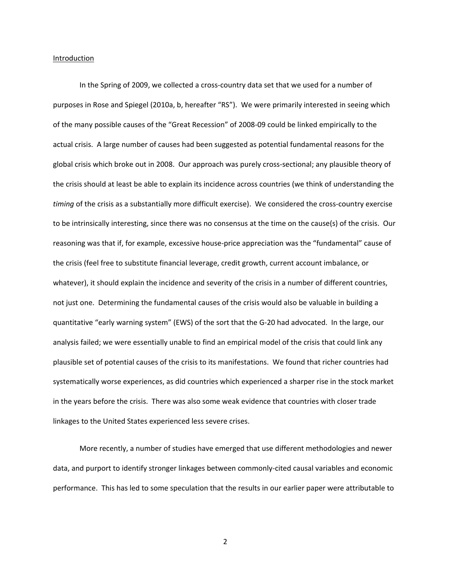#### Introduction

In the Spring of 2009, we collected a cross‐country data set that we used for a number of purposes in Rose and Spiegel (2010a, b, hereafter "RS"). We were primarily interested in seeing which of the many possible causes of the "Great Recession" of 2008‐09 could be linked empirically to the actual crisis. A large number of causes had been suggested as potential fundamental reasons for the global crisis which broke out in 2008. Our approach was purely cross-sectional; any plausible theory of the crisis should at least be able to explain its incidence across countries (we think of understanding the *timing* of the crisis as a substantially more difficult exercise). We considered the cross‐country exercise to be intrinsically interesting, since there was no consensus at the time on the cause(s) of the crisis. Our reasoning was that if, for example, excessive house‐price appreciation was the "fundamental" cause of the crisis (feel free to substitute financial leverage, credit growth, current account imbalance, or whatever), it should explain the incidence and severity of the crisis in a number of different countries, not just one. Determining the fundamental causes of the crisis would also be valuable in building a quantitative "early warning system" (EWS) of the sort that the G‐20 had advocated. In the large, our analysis failed; we were essentially unable to find an empirical model of the crisis that could link any plausible set of potential causes of the crisis to its manifestations. We found that richer countries had systematically worse experiences, as did countries which experienced a sharper rise in the stock market in the years before the crisis. There was also some weak evidence that countries with closer trade linkages to the United States experienced less severe crises.

More recently, a number of studies have emerged that use different methodologies and newer data, and purport to identify stronger linkages between commonly‐cited causal variables and economic performance. This has led to some speculation that the results in our earlier paper were attributable to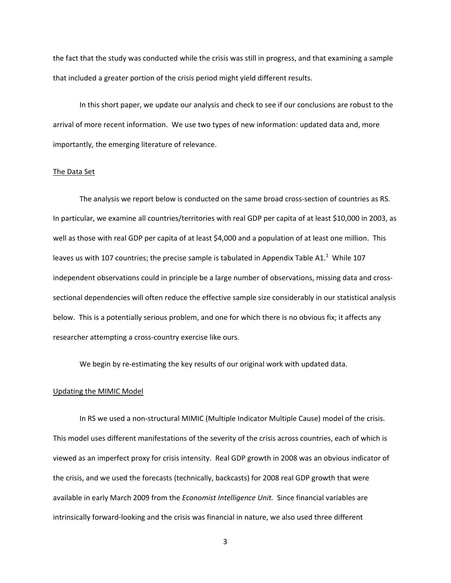the fact that the study was conducted while the crisis was still in progress, and that examining a sample that included a greater portion of the crisis period might yield different results.

In this short paper, we update our analysis and check to see if our conclusions are robust to the arrival of more recent information. We use two types of new information: updated data and, more importantly, the emerging literature of relevance.

#### The Data Set

The analysis we report below is conducted on the same broad cross-section of countries as RS. In particular, we examine all countries/territories with real GDP per capita of at least \$10,000 in 2003, as well as those with real GDP per capita of at least \$4,000 and a population of at least one million. This leaves us with 107 countries; the precise sample is tabulated in Appendix Table A1.<sup>1</sup> While 107 independent observations could in principle be a large number of observations, missing data and cross‐ sectional dependencies will often reduce the effective sample size considerably in our statistical analysis below. This is a potentially serious problem, and one for which there is no obvious fix; it affects any researcher attempting a cross‐country exercise like ours.

We begin by re-estimating the key results of our original work with updated data.

#### Updating the MIMIC Model

In RS we used a non‐structural MIMIC (Multiple Indicator Multiple Cause) model of the crisis. This model uses different manifestations of the severity of the crisis across countries, each of which is viewed as an imperfect proxy for crisis intensity. Real GDP growth in 2008 was an obvious indicator of the crisis, and we used the forecasts (technically, backcasts) for 2008 real GDP growth that were available in early March 2009 from the *Economist Intelligence Unit.* Since financial variables are intrinsically forward‐looking and the crisis was financial in nature, we also used three different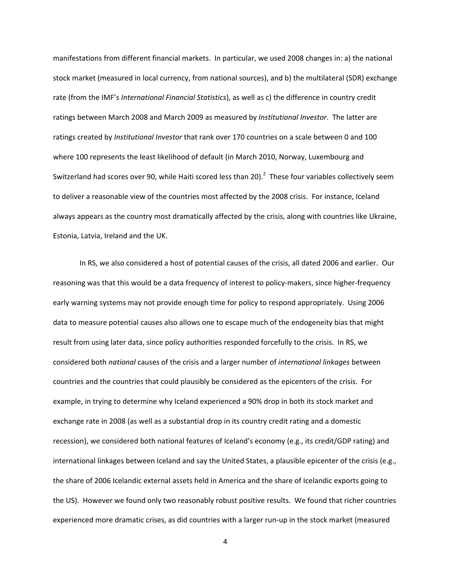manifestations from different financial markets. In particular, we used 2008 changes in: a) the national stock market (measured in local currency, from national sources), and b) the multilateral (SDR) exchange rate (from the IMF's *International Financial Statistics*), as well as c) the difference in country credit ratings between March 2008 and March 2009 as measured by *Institutional Investor*. The latter are ratings created by *Institutional Investor* that rank over 170 countries on a scale between 0 and 100 where 100 represents the least likelihood of default (in March 2010, Norway, Luxembourg and Switzerland had scores over 90, while Haiti scored less than 20). $^2$  These four variables collectively seem to deliver a reasonable view of the countries most affected by the 2008 crisis. For instance, Iceland always appears as the country most dramatically affected by the crisis, along with countries like Ukraine, Estonia, Latvia, Ireland and the UK.

In RS, we also considered a host of potential causes of the crisis, all dated 2006 and earlier. Our reasoning was that this would be a data frequency of interest to policy-makers, since higher-frequency early warning systems may not provide enough time for policy to respond appropriately. Using 2006 data to measure potential causes also allows one to escape much of the endogeneity bias that might result from using later data, since policy authorities responded forcefully to the crisis. In RS, we considered both *national* causes of the crisis and a larger number of *international linkages* between countries and the countries that could plausibly be considered as the epicenters of the crisis. For example, in trying to determine why Iceland experienced a 90% drop in both its stock market and exchange rate in 2008 (as well as a substantial drop in its country credit rating and a domestic recession), we considered both national features of Iceland's economy (e.g., its credit/GDP rating) and international linkages between Iceland and say the United States, a plausible epicenter of the crisis (e.g., the share of 2006 Icelandic external assets held in America and the share of Icelandic exports going to the US). However we found only two reasonably robust positive results. We found that richer countries experienced more dramatic crises, as did countries with a larger run-up in the stock market (measured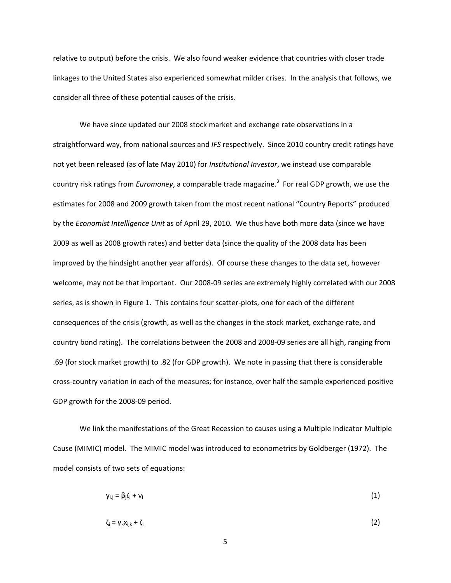relative to output) before the crisis. We also found weaker evidence that countries with closer trade linkages to the United States also experienced somewhat milder crises. In the analysis that follows, we consider all three of these potential causes of the crisis.

We have since updated our 2008 stock market and exchange rate observations in a straightforward way, from national sources and *IFS* respectively. Since 2010 country credit ratings have not yet been released (as of late May 2010) for *Institutional Investor*, we instead use comparable country risk ratings from *Euromoney*, a comparable trade magazine.<sup>3</sup> For real GDP growth, we use the estimates for 2008 and 2009 growth taken from the most recent national "Country Reports" produced by the *Economist Intelligence Unit* as of April 29, 2010*.* We thus have both more data (since we have 2009 as well as 2008 growth rates) and better data (since the quality of the 2008 data has been improved by the hindsight another year affords). Of course these changes to the data set, however welcome, may not be that important. Our 2008‐09 series are extremely highly correlated with our 2008 series, as is shown in Figure 1. This contains four scatter-plots, one for each of the different consequences of the crisis (growth, as well as the changes in the stock market, exchange rate, and country bond rating). The correlations between the 2008 and 2008‐09 series are all high, ranging from .69 (for stock market growth) to .82 (for GDP growth). We note in passing that there is considerable cross‐country variation in each of the measures; for instance, over half the sample experienced positive GDP growth for the 2008‐09 period.

We link the manifestations of the Great Recession to causes using a Multiple Indicator Multiple Cause (MIMIC) model. The MIMIC model was introduced to econometrics by Goldberger (1972). The model consists of two sets of equations:

$$
y_{i,j} = \beta_j \zeta_i + v_i \tag{1}
$$

$$
\zeta_i = \gamma_k x_{i,k} + \zeta_i \tag{2}
$$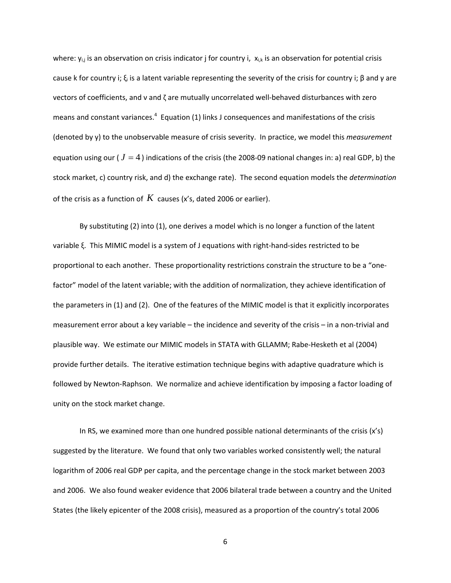where:  $y_{i,j}$  is an observation on crisis indicator j for country i,  $x_{i,k}$  is an observation for potential crisis cause k for country i;  $\xi_i$  is a latent variable representing the severity of the crisis for country i; β and γ are vectors of coefficients, and ν and ζ are mutually uncorrelated well‐behaved disturbances with zero means and constant variances.<sup>4</sup> Equation (1) links J consequences and manifestations of the crisis (denoted by y) to the unobservable measure of crisis severity. In practice, we model this *measurement* equation using our ( $J = 4$ ) indications of the crisis (the 2008-09 national changes in: a) real GDP, b) the stock market, c) country risk, and d) the exchange rate). The second equation models the *determination* of the crisis as a function of *K* causes (x's, dated 2006 or earlier).

By substituting (2) into (1), one derives a model which is no longer a function of the latent variable ξ. This MIMIC model is a system of J equations with right‐hand‐sides restricted to be proportional to each another. These proportionality restrictions constrain the structure to be a "one‐ factor" model of the latent variable; with the addition of normalization, they achieve identification of the parameters in (1) and (2). One of the features of the MIMIC model is that it explicitly incorporates measurement error about a key variable – the incidence and severity of the crisis – in a non‐trivial and plausible way. We estimate our MIMIC models in STATA with GLLAMM; Rabe‐Hesketh et al (2004) provide further details. The iterative estimation technique begins with adaptive quadrature which is followed by Newton‐Raphson. We normalize and achieve identification by imposing a factor loading of unity on the stock market change.

In RS, we examined more than one hundred possible national determinants of the crisis  $(x's)$ suggested by the literature. We found that only two variables worked consistently well; the natural logarithm of 2006 real GDP per capita, and the percentage change in the stock market between 2003 and 2006. We also found weaker evidence that 2006 bilateral trade between a country and the United States (the likely epicenter of the 2008 crisis), measured as a proportion of the country's total 2006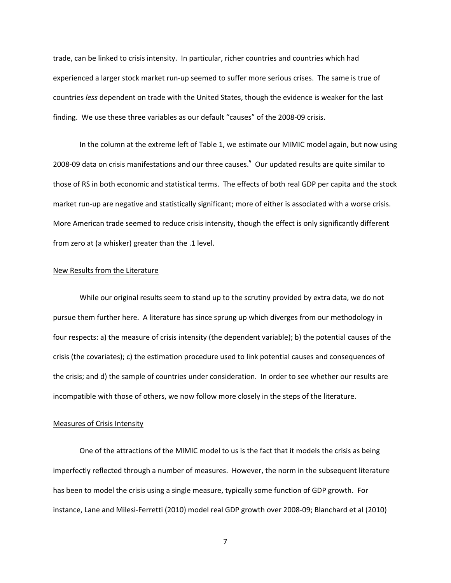trade, can be linked to crisis intensity. In particular, richer countries and countries which had experienced a larger stock market run-up seemed to suffer more serious crises. The same is true of countries *less* dependent on trade with the United States, though the evidence is weaker for the last finding. We use these three variables as our default "causes" of the 2008‐09 crisis.

In the column at the extreme left of Table 1, we estimate our MIMIC model again, but now using 2008-09 data on crisis manifestations and our three causes.<sup>5</sup> Our updated results are quite similar to those of RS in both economic and statistical terms. The effects of both real GDP per capita and the stock market run-up are negative and statistically significant; more of either is associated with a worse crisis. More American trade seemed to reduce crisis intensity, though the effect is only significantly different from zero at (a whisker) greater than the .1 level.

## New Results from the Literature

While our original results seem to stand up to the scrutiny provided by extra data, we do not pursue them further here. A literature has since sprung up which diverges from our methodology in four respects: a) the measure of crisis intensity (the dependent variable); b) the potential causes of the crisis (the covariates); c) the estimation procedure used to link potential causes and consequences of the crisis; and d) the sample of countries under consideration. In order to see whether our results are incompatible with those of others, we now follow more closely in the steps of the literature.

#### Measures of Crisis Intensity

One of the attractions of the MIMIC model to us is the fact that it models the crisis as being imperfectly reflected through a number of measures. However, the norm in the subsequent literature has been to model the crisis using a single measure, typically some function of GDP growth. For instance, Lane and Milesi‐Ferretti (2010) model real GDP growth over 2008‐09; Blanchard et al (2010)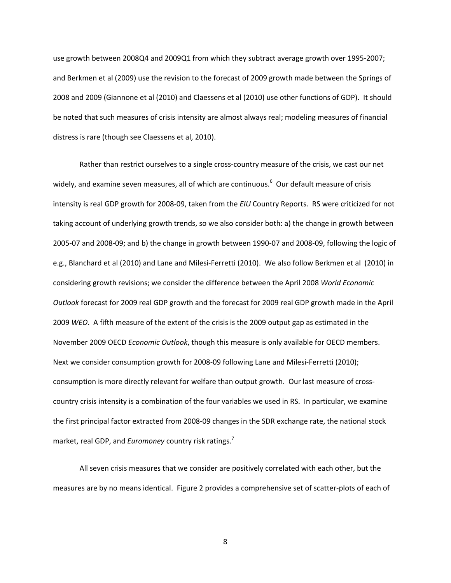use growth between 2008Q4 and 2009Q1 from which they subtract average growth over 1995‐2007; and Berkmen et al (2009) use the revision to the forecast of 2009 growth made between the Springs of 2008 and 2009 (Giannone et al (2010) and Claessens et al (2010) use other functions of GDP). It should be noted that such measures of crisis intensity are almost always real; modeling measures of financial distress is rare (though see Claessens et al, 2010).

Rather than restrict ourselves to a single cross-country measure of the crisis, we cast our net widely, and examine seven measures, all of which are continuous.<sup>6</sup> Our default measure of crisis intensity is real GDP growth for 2008‐09, taken from the *EIU* Country Reports. RS were criticized for not taking account of underlying growth trends, so we also consider both: a) the change in growth between 2005‐07 and 2008‐09; and b) the change in growth between 1990‐07 and 2008‐09, following the logic of e.g., Blanchard et al (2010) and Lane and Milesi‐Ferretti (2010). We also follow Berkmen et al (2010) in considering growth revisions; we consider the difference between the April 2008 *World Economic Outlook* forecast for 2009 real GDP growth and the forecast for 2009 real GDP growth made in the April 2009 *WEO*. A fifth measure of the extent of the crisis is the 2009 output gap as estimated in the November 2009 OECD *Economic Outlook*, though this measure is only available for OECD members. Next we consider consumption growth for 2008-09 following Lane and Milesi-Ferretti (2010); consumption is more directly relevant for welfare than output growth. Our last measure of crosscountry crisis intensity is a combination of the four variables we used in RS. In particular, we examine the first principal factor extracted from 2008‐09 changes in the SDR exchange rate, the national stock market, real GDP, and *Euromoney* country risk ratings.7

All seven crisis measures that we consider are positively correlated with each other, but the measures are by no means identical. Figure 2 provides a comprehensive set of scatter‐plots of each of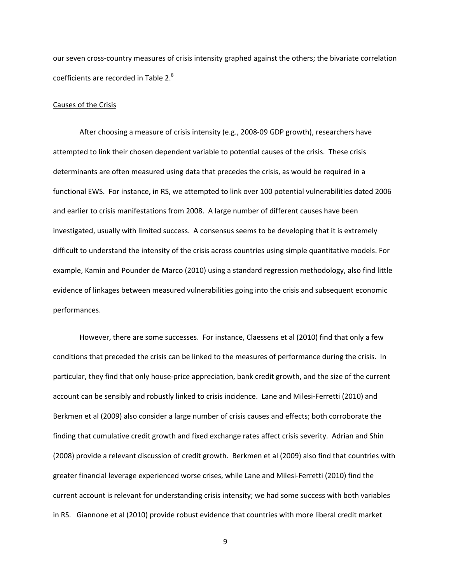our seven cross‐country measures of crisis intensity graphed against the others; the bivariate correlation coefficients are recorded in Table 2.<sup>8</sup>

## Causes of the Crisis

After choosing a measure of crisis intensity (e.g., 2008‐09 GDP growth), researchers have attempted to link their chosen dependent variable to potential causes of the crisis. These crisis determinants are often measured using data that precedes the crisis, as would be required in a functional EWS. For instance, in RS, we attempted to link over 100 potential vulnerabilities dated 2006 and earlier to crisis manifestations from 2008. A large number of different causes have been investigated, usually with limited success. A consensus seems to be developing that it is extremely difficult to understand the intensity of the crisis across countries using simple quantitative models. For example, Kamin and Pounder de Marco (2010) using a standard regression methodology, also find little evidence of linkages between measured vulnerabilities going into the crisis and subsequent economic performances.

However, there are some successes. For instance, Claessens et al (2010) find that only a few conditions that preceded the crisis can be linked to the measures of performance during the crisis. In particular, they find that only house-price appreciation, bank credit growth, and the size of the current account can be sensibly and robustly linked to crisis incidence. Lane and Milesi‐Ferretti (2010) and Berkmen et al (2009) also consider a large number of crisis causes and effects; both corroborate the finding that cumulative credit growth and fixed exchange rates affect crisis severity. Adrian and Shin (2008) provide a relevant discussion of credit growth. Berkmen et al (2009) also find that countries with greater financial leverage experienced worse crises, while Lane and Milesi‐Ferretti (2010) find the current account is relevant for understanding crisis intensity; we had some success with both variables in RS. Giannone et al (2010) provide robust evidence that countries with more liberal credit market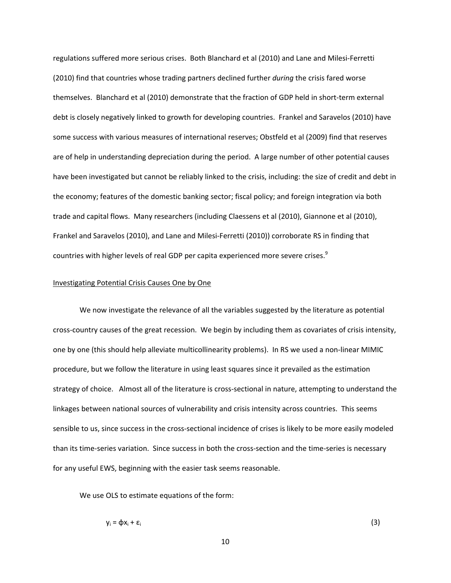regulations suffered more serious crises. Both Blanchard et al (2010) and Lane and Milesi‐Ferretti (2010) find that countries whose trading partners declined further *during* the crisis fared worse themselves. Blanchard et al (2010) demonstrate that the fraction of GDP held in short‐term external debt is closely negatively linked to growth for developing countries. Frankel and Saravelos (2010) have some success with various measures of international reserves; Obstfeld et al (2009) find that reserves are of help in understanding depreciation during the period. A large number of other potential causes have been investigated but cannot be reliably linked to the crisis, including: the size of credit and debt in the economy; features of the domestic banking sector; fiscal policy; and foreign integration via both trade and capital flows. Many researchers (including Claessens et al (2010), Giannone et al (2010), Frankel and Saravelos (2010), and Lane and Milesi‐Ferretti (2010)) corroborate RS in finding that countries with higher levels of real GDP per capita experienced more severe crises.<sup>9</sup>

### Investigating Potential Crisis Causes One by One

We now investigate the relevance of all the variables suggested by the literature as potential cross‐country causes of the great recession. We begin by including them as covariates of crisis intensity, one by one (this should help alleviate multicollinearity problems). In RS we used a non‐linear MIMIC procedure, but we follow the literature in using least squares since it prevailed as the estimation strategy of choice. Almost all of the literature is cross-sectional in nature, attempting to understand the linkages between national sources of vulnerability and crisis intensity across countries. This seems sensible to us, since success in the cross-sectional incidence of crises is likely to be more easily modeled than its time‐series variation. Since success in both the cross‐section and the time‐series is necessary for any useful EWS, beginning with the easier task seems reasonable.

We use OLS to estimate equations of the form:

$$
y_i = \varphi x_i + \varepsilon_i \tag{3}
$$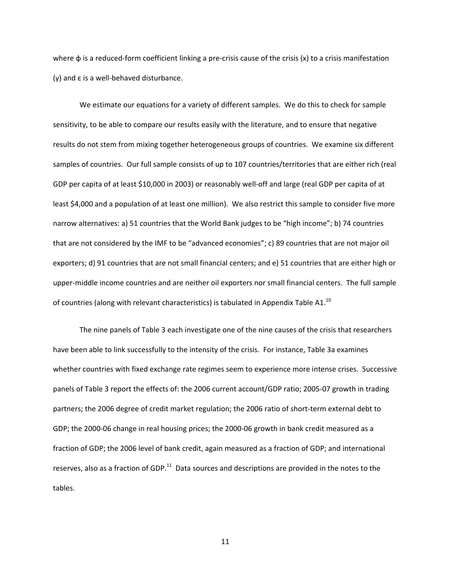where  $\phi$  is a reduced-form coefficient linking a pre-crisis cause of the crisis (x) to a crisis manifestation (y) and  $\varepsilon$  is a well-behaved disturbance.

We estimate our equations for a variety of different samples. We do this to check for sample sensitivity, to be able to compare our results easily with the literature, and to ensure that negative results do not stem from mixing together heterogeneous groups of countries. We examine six different samples of countries. Our full sample consists of up to 107 countries/territories that are either rich (real GDP per capita of at least \$10,000 in 2003) or reasonably well‐off and large (real GDP per capita of at least \$4,000 and a population of at least one million). We also restrict this sample to consider five more narrow alternatives: a) 51 countries that the World Bank judges to be "high income"; b) 74 countries that are not considered by the IMF to be "advanced economies"; c) 89 countries that are not major oil exporters; d) 91 countries that are not small financial centers; and e) 51 countries that are either high or upper‐middle income countries and are neither oil exporters nor small financial centers. The full sample of countries (along with relevant characteristics) is tabulated in Appendix Table A1.<sup>10</sup>

The nine panels of Table 3 each investigate one of the nine causes of the crisis that researchers have been able to link successfully to the intensity of the crisis. For instance, Table 3a examines whether countries with fixed exchange rate regimes seem to experience more intense crises. Successive panels of Table 3 report the effects of: the 2006 current account/GDP ratio; 2005‐07 growth in trading partners; the 2006 degree of credit market regulation; the 2006 ratio of short-term external debt to GDP; the 2000-06 change in real housing prices; the 2000-06 growth in bank credit measured as a fraction of GDP; the 2006 level of bank credit, again measured as a fraction of GDP; and international reserves, also as a fraction of GDP.<sup>11</sup> Data sources and descriptions are provided in the notes to the tables.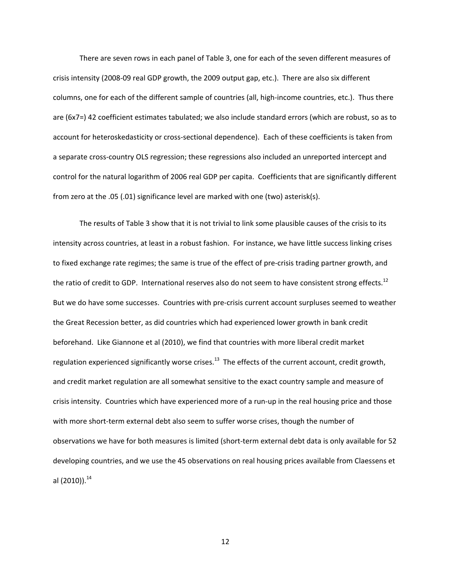There are seven rows in each panel of Table 3, one for each of the seven different measures of crisis intensity (2008‐09 real GDP growth, the 2009 output gap, etc.). There are also six different columns, one for each of the different sample of countries (all, high-income countries, etc.). Thus there are (6x7=) 42 coefficient estimates tabulated; we also include standard errors (which are robust, so as to account for heteroskedasticity or cross‐sectional dependence). Each of these coefficients is taken from a separate cross‐country OLS regression; these regressions also included an unreported intercept and control for the natural logarithm of 2006 real GDP per capita. Coefficients that are significantly different from zero at the .05 (.01) significance level are marked with one (two) asterisk(s).

The results of Table 3 show that it is not trivial to link some plausible causes of the crisis to its intensity across countries, at least in a robust fashion. For instance, we have little success linking crises to fixed exchange rate regimes; the same is true of the effect of pre-crisis trading partner growth, and the ratio of credit to GDP. International reserves also do not seem to have consistent strong effects.<sup>12</sup> But we do have some successes. Countries with pre‐crisis current account surpluses seemed to weather the Great Recession better, as did countries which had experienced lower growth in bank credit beforehand. Like Giannone et al (2010), we find that countries with more liberal credit market regulation experienced significantly worse crises.<sup>13</sup> The effects of the current account, credit growth, and credit market regulation are all somewhat sensitive to the exact country sample and measure of crisis intensity. Countries which have experienced more of a run‐up in the real housing price and those with more short-term external debt also seem to suffer worse crises, though the number of observations we have for both measures is limited (short‐term external debt data is only available for 52 developing countries, and we use the 45 observations on real housing prices available from Claessens et al (2010)). $^{14}$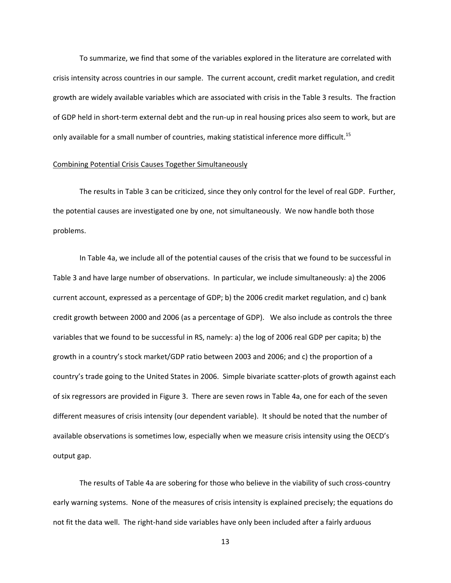To summarize, we find that some of the variables explored in the literature are correlated with crisis intensity across countries in our sample. The current account, credit market regulation, and credit growth are widely available variables which are associated with crisis in the Table 3 results. The fraction of GDP held in short‐term external debt and the run‐up in real housing prices also seem to work, but are only available for a small number of countries, making statistical inference more difficult.<sup>15</sup>

### Combining Potential Crisis Causes Together Simultaneously

The results in Table 3 can be criticized, since they only control for the level of real GDP. Further, the potential causes are investigated one by one, not simultaneously. We now handle both those problems.

In Table 4a, we include all of the potential causes of the crisis that we found to be successful in Table 3 and have large number of observations. In particular, we include simultaneously: a) the 2006 current account, expressed as a percentage of GDP; b) the 2006 credit market regulation, and c) bank credit growth between 2000 and 2006 (as a percentage of GDP). We also include as controls the three variables that we found to be successful in RS, namely: a) the log of 2006 real GDP per capita; b) the growth in a country's stock market/GDP ratio between 2003 and 2006; and c) the proportion of a country's trade going to the United States in 2006. Simple bivariate scatter‐plots of growth against each of six regressors are provided in Figure 3. There are seven rows in Table 4a, one for each of the seven different measures of crisis intensity (our dependent variable). It should be noted that the number of available observations is sometimes low, especially when we measure crisis intensity using the OECD's output gap.

The results of Table 4a are sobering for those who believe in the viability of such cross-country early warning systems. None of the measures of crisis intensity is explained precisely; the equations do not fit the data well. The right-hand side variables have only been included after a fairly arduous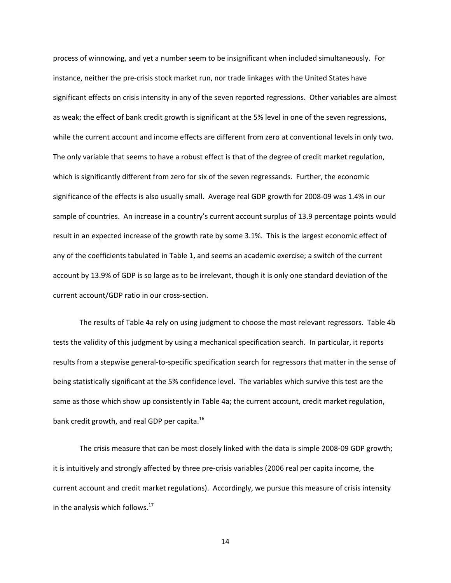process of winnowing, and yet a number seem to be insignificant when included simultaneously. For instance, neither the pre‐crisis stock market run, nor trade linkages with the United States have significant effects on crisis intensity in any of the seven reported regressions. Other variables are almost as weak; the effect of bank credit growth is significant at the 5% level in one of the seven regressions, while the current account and income effects are different from zero at conventional levels in only two. The only variable that seems to have a robust effect is that of the degree of credit market regulation, which is significantly different from zero for six of the seven regressands. Further, the economic significance of the effects is also usually small. Average real GDP growth for 2008‐09 was 1.4% in our sample of countries. An increase in a country's current account surplus of 13.9 percentage points would result in an expected increase of the growth rate by some 3.1%. This is the largest economic effect of any of the coefficients tabulated in Table 1, and seems an academic exercise; a switch of the current account by 13.9% of GDP is so large as to be irrelevant, though it is only one standard deviation of the current account/GDP ratio in our cross‐section.

The results of Table 4a rely on using judgment to choose the most relevant regressors. Table 4b tests the validity of this judgment by using a mechanical specification search. In particular, it reports results from a stepwise general‐to‐specific specification search for regressors that matter in the sense of being statistically significant at the 5% confidence level. The variables which survive this test are the same as those which show up consistently in Table 4a; the current account, credit market regulation, bank credit growth, and real GDP per capita.<sup>16</sup>

The crisis measure that can be most closely linked with the data is simple 2008‐09 GDP growth; it is intuitively and strongly affected by three pre‐crisis variables (2006 real per capita income, the current account and credit market regulations). Accordingly, we pursue this measure of crisis intensity in the analysis which follows.<sup>17</sup>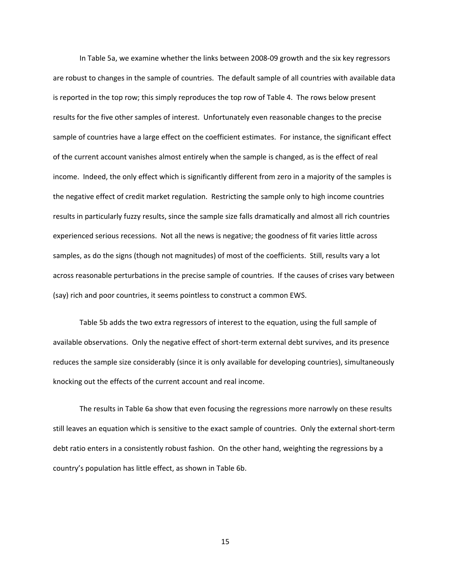In Table 5a, we examine whether the links between 2008‐09 growth and the six key regressors are robust to changes in the sample of countries. The default sample of all countries with available data is reported in the top row; this simply reproduces the top row of Table 4. The rows below present results for the five other samples of interest. Unfortunately even reasonable changes to the precise sample of countries have a large effect on the coefficient estimates. For instance, the significant effect of the current account vanishes almost entirely when the sample is changed, as is the effect of real income. Indeed, the only effect which is significantly different from zero in a majority of the samples is the negative effect of credit market regulation. Restricting the sample only to high income countries results in particularly fuzzy results, since the sample size falls dramatically and almost all rich countries experienced serious recessions. Not all the news is negative; the goodness of fit varies little across samples, as do the signs (though not magnitudes) of most of the coefficients. Still, results vary a lot across reasonable perturbations in the precise sample of countries. If the causes of crises vary between (say) rich and poor countries, it seems pointless to construct a common EWS.

Table 5b adds the two extra regressors of interest to the equation, using the full sample of available observations. Only the negative effect of short-term external debt survives, and its presence reduces the sample size considerably (since it is only available for developing countries), simultaneously knocking out the effects of the current account and real income.

The results in Table 6a show that even focusing the regressions more narrowly on these results still leaves an equation which is sensitive to the exact sample of countries. Only the external short‐term debt ratio enters in a consistently robust fashion. On the other hand, weighting the regressions by a country's population has little effect, as shown in Table 6b.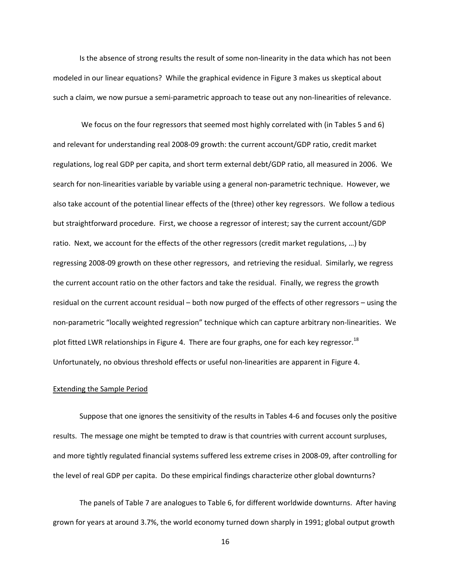Is the absence of strong results the result of some non-linearity in the data which has not been modeled in our linear equations? While the graphical evidence in Figure 3 makes us skeptical about such a claim, we now pursue a semi-parametric approach to tease out any non-linearities of relevance.

We focus on the four regressors that seemed most highly correlated with (in Tables 5 and 6) and relevant for understanding real 2008‐09 growth: the current account/GDP ratio, credit market regulations, log real GDP per capita, and short term external debt/GDP ratio, all measured in 2006. We search for non-linearities variable by variable using a general non-parametric technique. However, we also take account of the potential linear effects of the (three) other key regressors. We follow a tedious but straightforward procedure. First, we choose a regressor of interest; say the current account/GDP ratio. Next, we account for the effects of the other regressors (credit market regulations, …) by regressing 2008‐09 growth on these other regressors, and retrieving the residual. Similarly, we regress the current account ratio on the other factors and take the residual. Finally, we regress the growth residual on the current account residual – both now purged of the effects of other regressors – using the non‐parametric "locally weighted regression" technique which can capture arbitrary non‐linearities. We plot fitted LWR relationships in Figure 4. There are four graphs, one for each key regressor.<sup>18</sup> Unfortunately, no obvious threshold effects or useful non‐linearities are apparent in Figure 4.

#### Extending the Sample Period

Suppose that one ignores the sensitivity of the results in Tables 4‐6 and focuses only the positive results. The message one might be tempted to draw is that countries with current account surpluses, and more tightly regulated financial systems suffered less extreme crises in 2008‐09, after controlling for the level of real GDP per capita. Do these empirical findings characterize other global downturns?

The panels of Table 7 are analogues to Table 6, for different worldwide downturns. After having grown for years at around 3.7%, the world economy turned down sharply in 1991; global output growth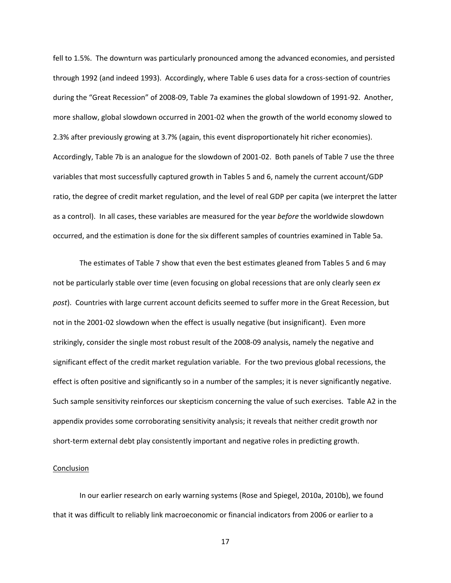fell to 1.5%. The downturn was particularly pronounced among the advanced economies, and persisted through 1992 (and indeed 1993). Accordingly, where Table 6 uses data for a cross‐section of countries during the "Great Recession" of 2008‐09, Table 7a examines the global slowdown of 1991‐92. Another, more shallow, global slowdown occurred in 2001‐02 when the growth of the world economy slowed to 2.3% after previously growing at 3.7% (again, this event disproportionately hit richer economies). Accordingly, Table 7b is an analogue for the slowdown of 2001‐02. Both panels of Table 7 use the three variables that most successfully captured growth in Tables 5 and 6, namely the current account/GDP ratio, the degree of credit market regulation, and the level of real GDP per capita (we interpret the latter as a control). In all cases, these variables are measured for the year *before* the worldwide slowdown occurred, and the estimation is done for the six different samples of countries examined in Table 5a.

The estimates of Table 7 show that even the best estimates gleaned from Tables 5 and 6 may not be particularly stable over time (even focusing on global recessions that are only clearly seen *ex post*). Countries with large current account deficits seemed to suffer more in the Great Recession, but not in the 2001-02 slowdown when the effect is usually negative (but insignificant). Even more strikingly, consider the single most robust result of the 2008‐09 analysis, namely the negative and significant effect of the credit market regulation variable. For the two previous global recessions, the effect is often positive and significantly so in a number of the samples; it is never significantly negative. Such sample sensitivity reinforces our skepticism concerning the value of such exercises. Table A2 in the appendix provides some corroborating sensitivity analysis; it reveals that neither credit growth nor short-term external debt play consistently important and negative roles in predicting growth.

#### **Conclusion**

In our earlier research on early warning systems (Rose and Spiegel, 2010a, 2010b), we found that it was difficult to reliably link macroeconomic or financial indicators from 2006 or earlier to a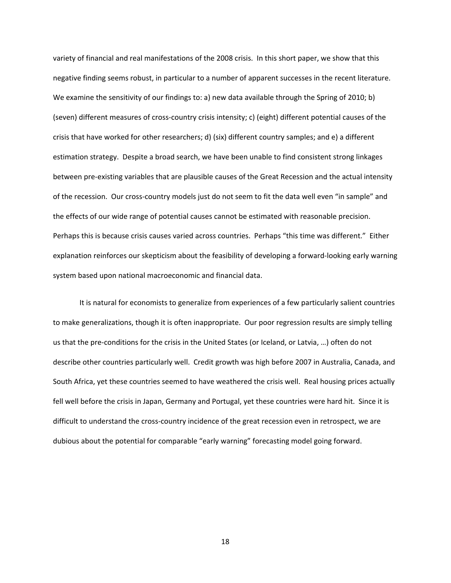variety of financial and real manifestations of the 2008 crisis. In this short paper, we show that this negative finding seems robust, in particular to a number of apparent successes in the recent literature. We examine the sensitivity of our findings to: a) new data available through the Spring of 2010; b) (seven) different measures of cross‐country crisis intensity; c) (eight) different potential causes of the crisis that have worked for other researchers; d) (six) different country samples; and e) a different estimation strategy. Despite a broad search, we have been unable to find consistent strong linkages between pre‐existing variables that are plausible causes of the Great Recession and the actual intensity of the recession. Our cross‐country models just do not seem to fit the data well even "in sample" and the effects of our wide range of potential causes cannot be estimated with reasonable precision. Perhaps this is because crisis causes varied across countries. Perhaps "this time was different." Either explanation reinforces our skepticism about the feasibility of developing a forward‐looking early warning system based upon national macroeconomic and financial data.

It is natural for economists to generalize from experiences of a few particularly salient countries to make generalizations, though it is often inappropriate. Our poor regression results are simply telling us that the pre‐conditions for the crisis in the United States (or Iceland, or Latvia, …) often do not describe other countries particularly well. Credit growth was high before 2007 in Australia, Canada, and South Africa, yet these countries seemed to have weathered the crisis well. Real housing prices actually fell well before the crisis in Japan, Germany and Portugal, yet these countries were hard hit. Since it is difficult to understand the cross‐country incidence of the great recession even in retrospect, we are dubious about the potential for comparable "early warning" forecasting model going forward.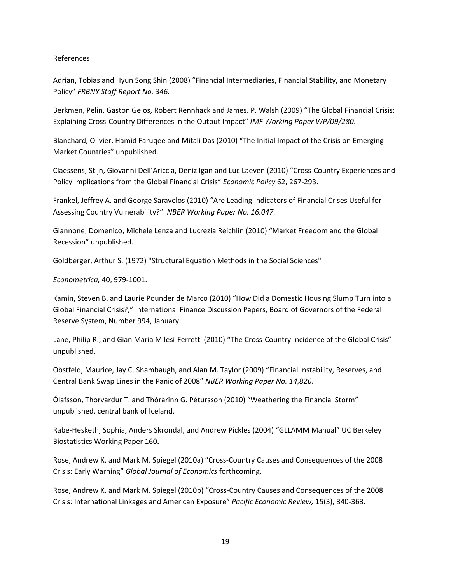## References

Adrian, Tobias and Hyun Song Shin (2008) "Financial Intermediaries, Financial Stability, and Monetary Policy" *FRBNY Staff Report No. 346.*

Berkmen, Pelin, Gaston Gelos, Robert Rennhack and James. P. Walsh (2009) "The Global Financial Crisis: Explaining Cross‐Country Differences in the Output Impact" *IMF Working Paper WP/09/280*.

Blanchard, Olivier, Hamid Faruqee and Mitali Das (2010) "The Initial Impact of the Crisis on Emerging Market Countries" unpublished.

Claessens, Stijn, Giovanni Dell'Ariccia, Deniz Igan and Luc Laeven (2010) "Cross‐Country Experiences and Policy Implications from the Global Financial Crisis" *Economic Policy* 62, 267‐293.

Frankel, Jeffrey A. and George Saravelos (2010) "Are Leading Indicators of Financial Crises Useful for Assessing Country Vulnerability?" *NBER Working Paper No. 16,047.*

Giannone, Domenico, Michele Lenza and Lucrezia Reichlin (2010) "Market Freedom and the Global Recession" unpublished.

Goldberger, Arthur S. (1972) "Structural Equation Methods in the Social Sciences"

*Econometrica,* 40, 979‐1001.

Kamin, Steven B. and Laurie Pounder de Marco (2010) "How Did a Domestic Housing Slump Turn into a Global Financial Crisis?," International Finance Discussion Papers, Board of Governors of the Federal Reserve System, Number 994, January.

Lane, Philip R., and Gian Maria Milesi-Ferretti (2010) "The Cross-Country Incidence of the Global Crisis" unpublished.

Obstfeld, Maurice, Jay C. Shambaugh, and Alan M. Taylor (2009) "Financial Instability, Reserves, and Central Bank Swap Lines in the Panic of 2008" *NBER Working Paper No. 14,826*.

Ólafsson, Thorvardur T. and Thórarinn G. Pétursson (2010) "Weathering the Financial Storm" unpublished, central bank of Iceland.

Rabe‐Hesketh, Sophia, Anders Skrondal, and Andrew Pickles (2004) "GLLAMM Manual" UC Berkeley Biostatistics Working Paper 160**.**

Rose, Andrew K. and Mark M. Spiegel (2010a) "Cross‐Country Causes and Consequences of the 2008 Crisis: Early Warning" *Global Journal of Economics* forthcoming.

Rose, Andrew K. and Mark M. Spiegel (2010b) "Cross‐Country Causes and Consequences of the 2008 Crisis: International Linkages and American Exposure" *Pacific Economic Review,* 15(3), 340‐363.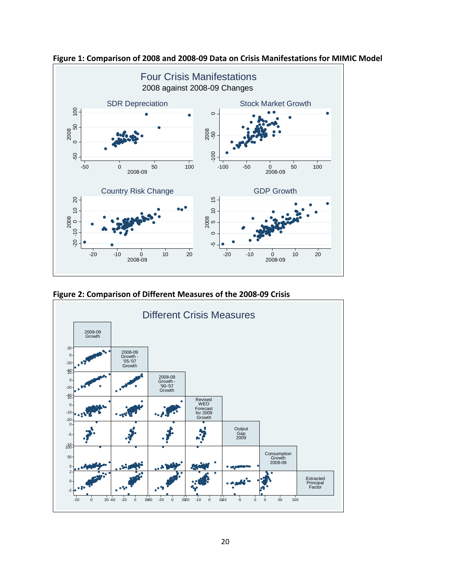

**Figure 1: Comparison of 2008 and 2008‐09 Data on Crisis Manifestations for MIMIC Model**



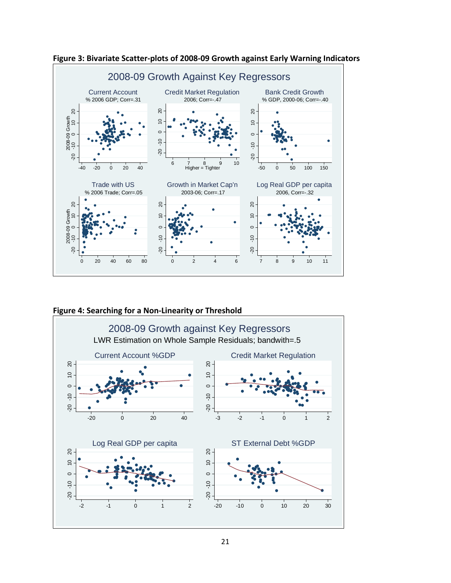

**Figure 3: Bivariate Scatter‐plots of 2008‐09 Growth against Early Warning Indicators**



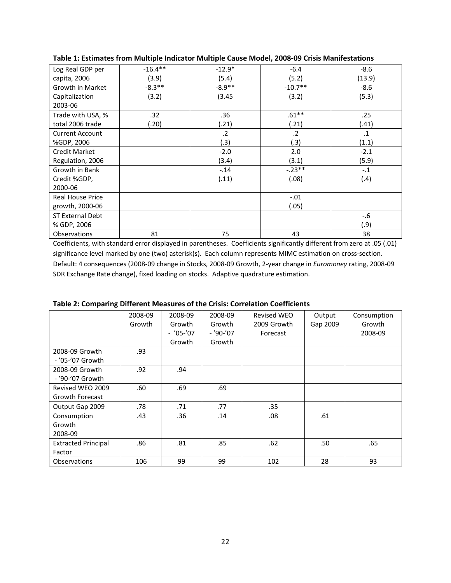| Log Real GDP per        | $-16.4**$ | $-12.9*$ | $-6.4$    | $-8.6$    |
|-------------------------|-----------|----------|-----------|-----------|
| capita, 2006            | (3.9)     | (5.4)    | (5.2)     | (13.9)    |
| Growth in Market        | $-8.3**$  | $-8.9**$ | $-10.7**$ | $-8.6$    |
| Capitalization          | (3.2)     | (3.45)   | (3.2)     | (5.3)     |
| 2003-06                 |           |          |           |           |
| Trade with USA, %       | .32       | .36      | $.61**$   | .25       |
| total 2006 trade        | (0.20)    | (.21)    | (.21)     | (.41)     |
| <b>Current Account</b>  |           | $\cdot$  | $\cdot$   | $\cdot$ 1 |
| %GDP, 2006              |           | (.3)     | (.3)      | (1.1)     |
| Credit Market           |           | $-2.0$   | 2.0       | $-2.1$    |
| Regulation, 2006        |           | (3.4)    | (3.1)     | (5.9)     |
| Growth in Bank          |           | $-.14$   | $-.23**$  | $-.1$     |
| Credit %GDP,            |           | (.11)    | (.08)     | (.4)      |
| 2000-06                 |           |          |           |           |
| <b>Real House Price</b> |           |          | $-.01$    |           |
| growth, 2000-06         |           |          | (.05)     |           |
| ST External Debt        |           |          |           | $-6$      |
| % GDP, 2006             |           |          |           | (.9)      |
| Observations            | 81        | 75       | 43        | 38        |

**Table 1: Estimates from Multiple Indicator Multiple Cause Model, 2008‐09 Crisis Manifestations** 

Coefficients, with standard error displayed in parentheses. Coefficients significantly different from zero at .05 (.01) significance level marked by one (two) asterisk(s). Each column represents MIMC estimation on cross-section. Default: 4 consequences (2008‐09 change in Stocks, 2008‐09 Growth, 2‐year change in *Euromoney* rating, 2008‐09 SDR Exchange Rate change), fixed loading on stocks. Adaptive quadrature estimation.

|                            | 2008-09 | 2008-09    | 2008-09  | <b>Revised WEO</b> | Output   | Consumption |
|----------------------------|---------|------------|----------|--------------------|----------|-------------|
|                            | Growth  | Growth     | Growth   | 2009 Growth        | Gap 2009 | Growth      |
|                            |         | $-705-707$ | $-790-7$ | Forecast           |          | 2008-09     |
|                            |         | Growth     | Growth   |                    |          |             |
| 2008-09 Growth             | .93     |            |          |                    |          |             |
| - '05-'07 Growth           |         |            |          |                    |          |             |
| 2008-09 Growth             | .92     | .94        |          |                    |          |             |
| - '90-'07 Growth           |         |            |          |                    |          |             |
| Revised WEO 2009           | .60     | .69        | .69      |                    |          |             |
| <b>Growth Forecast</b>     |         |            |          |                    |          |             |
| Output Gap 2009            | .78     | .71        | .77      | .35                |          |             |
| Consumption                | .43     | .36        | .14      | .08                | .61      |             |
| Growth                     |         |            |          |                    |          |             |
| 2008-09                    |         |            |          |                    |          |             |
| <b>Extracted Principal</b> | .86     | .81        | .85      | .62                | .50      | .65         |
| Factor                     |         |            |          |                    |          |             |
| <b>Observations</b>        | 106     | 99         | 99       | 102                | 28       | 93          |

**Table 2: Comparing Different Measures of the Crisis: Correlation Coefficients**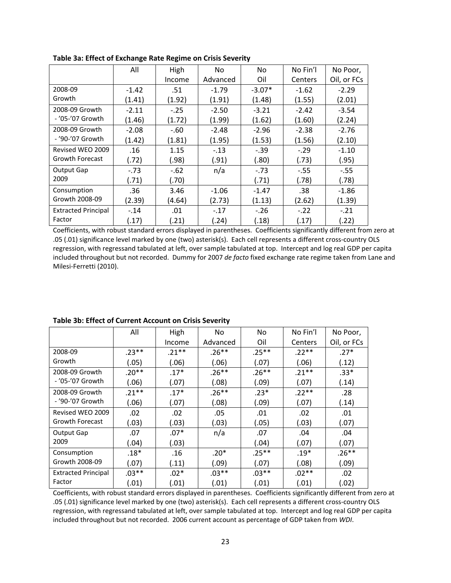|                            | All     | High   | <b>No</b> | No.      | No Fin'l | No Poor,    |
|----------------------------|---------|--------|-----------|----------|----------|-------------|
|                            |         | Income | Advanced  | Oil      | Centers  | Oil, or FCs |
| 2008-09                    | $-1.42$ | .51    | $-1.79$   | $-3.07*$ | $-1.62$  | $-2.29$     |
| Growth                     | (1.41)  | (1.92) | (1.91)    | (1.48)   | (1.55)   | (2.01)      |
| 2008-09 Growth             | $-2.11$ | $-.25$ | $-2.50$   | $-3.21$  | $-2.42$  | $-3.54$     |
| - '05-'07 Growth           | (1.46)  | (1.72) | (1.99)    | (1.62)   | (1.60)   | (2.24)      |
| 2008-09 Growth             | $-2.08$ | $-.60$ | $-2.48$   | $-2.96$  | $-2.38$  | $-2.76$     |
| - '90-'07 Growth           | (1.42)  | (1.81) | (1.95)    | (1.53)   | (1.56)   | (2.10)      |
| Revised WEO 2009           | .16     | 1.15   | $-.13$    | $-.39$   | $-.29$   | $-1.10$     |
| <b>Growth Forecast</b>     | (.72)   | (.98)  | (.91)     | (.80)    | (.73)    | (.95)       |
| Output Gap                 | $-73$   | $-.62$ | n/a       | $-.73$   | $-55$    | $-.55$      |
| 2009                       | (.71)   | (.70)  |           | (.71)    | (.78)    | (.78)       |
| Consumption                | .36     | 3.46   | $-1.06$   | $-1.47$  | .38      | $-1.86$     |
| Growth 2008-09             | (2.39)  | (4.64) | (2.73)    | (1.13)   | (2.62)   | (1.39)      |
| <b>Extracted Principal</b> | $-.14$  | .01    | $-.17$    | $-.26$   | $-.22$   | $-.21$      |
| Factor                     | (17)    | (21)   | (.24)     | (.18)    | (.17)    | (.22)       |

**Table 3a: Effect of Exchange Rate Regime on Crisis Severity**

Coefficients, with robust standard errors displayed in parentheses. Coefficients significantly different from zero at .05 (.01) significance level marked by one (two) asterisk(s). Each cell represents a different cross‐country OLS regression, with regressand tabulated at left, over sample tabulated at top. Intercept and log real GDP per capita included throughout but not recorded. Dummy for 2007 *de facto* fixed exchange rate regime taken from Lane and Milesi‐Ferretti (2010).

|                            | All      | High    | <b>No</b> | No.     | No Fin'l | No Poor,    |
|----------------------------|----------|---------|-----------|---------|----------|-------------|
|                            |          | Income  | Advanced  | Oil     | Centers  | Oil, or FCs |
| 2008-09                    | $.23**$  | $.21**$ | $.26***$  | $.25**$ | $.22**$  | $.27*$      |
| Growth                     | (.05)    | (.06)   | (.06)     | (.07)   | (.06)    | (.12)       |
| 2008-09 Growth             | $.20**$  | $.17*$  | $.26**$   | $.26**$ | $.21**$  | $.33*$      |
| - '05-'07 Growth           | (.06)    | (.07)   | (.08)     | (.09)   | (.07)    | (.14)       |
| 2008-09 Growth             | $.21***$ | $.17*$  | $.26**$   | $.23*$  | $.22**$  | .28         |
| - '90-'07 Growth           | (.06)    | (.07)   | (.08)     | (.09)   | (.07)    | (.14)       |
| Revised WEO 2009           | .02      | .02     | .05       | .01     | .02      | .01         |
| Growth Forecast            | (.03)    | (.03)   | (.03)     | (.05)   | (.03)    | (.07)       |
| Output Gap                 | .07      | $.07*$  | n/a       | .07     | .04      | .04         |
| 2009                       | (.04)    | (.03)   |           | (.04)   | (.07)    | (.07)       |
| Consumption                | $.18*$   | .16     | $.20*$    | $.25**$ | $.19*$   | $.26**$     |
| Growth 2008-09             | (.07)    | (.11)   | (.09)     | (.07)   | (.08)    | (.09)       |
| <b>Extracted Principal</b> | $.03**$  | $.02*$  | $.03**$   | $.03**$ | $.02**$  | .02         |
| Factor                     | (.01)    | (.01)   | (.01)     | (.01)   | (.01)    | (.02)       |

## **Table 3b: Effect of Current Account on Crisis Severity**

Coefficients, with robust standard errors displayed in parentheses. Coefficients significantly different from zero at .05 (.01) significance level marked by one (two) asterisk(s). Each cell represents a different cross‐country OLS regression, with regressand tabulated at left, over sample tabulated at top. Intercept and log real GDP per capita included throughout but not recorded. 2006 current account as percentage of GDP taken from *WDI*.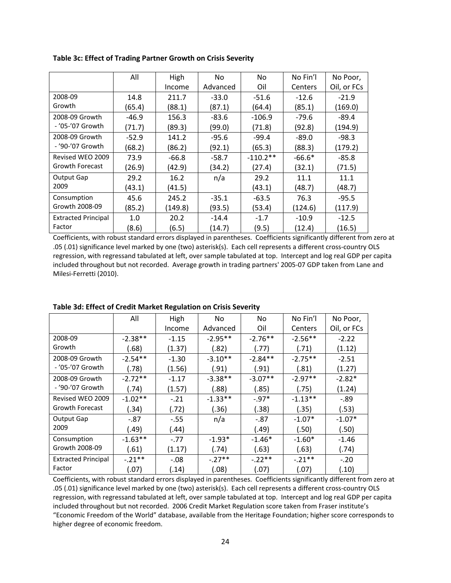|                            | All     | High    | No.      | No         | No Fin'l | No Poor,    |
|----------------------------|---------|---------|----------|------------|----------|-------------|
|                            |         | Income  | Advanced | Oil        | Centers  | Oil, or FCs |
| 2008-09                    | 14.8    | 211.7   | $-33.0$  | $-51.6$    | $-12.6$  | $-21.9$     |
| Growth                     | (65.4)  | (88.1)  | (87.1)   | (64.4)     | (85.1)   | (169.0)     |
| 2008-09 Growth             | $-46.9$ | 156.3   | $-83.6$  | $-106.9$   | $-79.6$  | $-89.4$     |
| - '05-'07 Growth           | (71.7)  | (89.3)  | (99.0)   | (71.8)     | (92.8)   | (194.9)     |
| 2008-09 Growth             | $-52.9$ | 141.2   | $-95.6$  | $-99.4$    | $-89.0$  | $-98.3$     |
| - '90-'07 Growth           | (68.2)  | (86.2)  | (92.1)   | (65.3)     | (88.3)   | (179.2)     |
| Revised WEO 2009           | 73.9    | $-66.8$ | $-58.7$  | $-110.2**$ | $-66.6*$ | $-85.8$     |
| <b>Growth Forecast</b>     | (26.9)  | (42.9)  | (34.2)   | (27.4)     | (32.1)   | (71.5)      |
| Output Gap                 | 29.2    | 16.2    | n/a      | 29.2       | 11.1     | 11.1        |
| 2009                       | (43.1)  | (41.5)  |          | (43.1)     | (48.7)   | (48.7)      |
| Consumption                | 45.6    | 245.2   | $-35.1$  | $-63.5$    | 76.3     | $-95.5$     |
| Growth 2008-09             | (85.2)  | (149.8) | (93.5)   | (53.4)     | (124.6)  | (117.9)     |
| <b>Extracted Principal</b> | 1.0     | 20.2    | $-14.4$  | $-1.7$     | $-10.9$  | $-12.5$     |
| Factor                     | (8.6)   | (6.5)   | (14.7)   | (9.5)      | (12.4)   | (16.5)      |

**Table 3c: Effect of Trading Partner Growth on Crisis Severity**

Coefficients, with robust standard errors displayed in parentheses. Coefficients significantly different from zero at .05 (.01) significance level marked by one (two) asterisk(s). Each cell represents a different cross‐country OLS regression, with regressand tabulated at left, over sample tabulated at top. Intercept and log real GDP per capita included throughout but not recorded. Average growth in trading partners' 2005‐07 GDP taken from Lane and Milesi‐Ferretti (2010).

|                            | All       | High    | No.       | No        | No Fin'l  | No Poor,    |
|----------------------------|-----------|---------|-----------|-----------|-----------|-------------|
|                            |           | Income  | Advanced  | Oil       | Centers   | Oil, or FCs |
| 2008-09                    | $-2.38**$ | $-1.15$ | $-2.95**$ | $-2.76**$ | $-2.56**$ | $-2.22$     |
| Growth                     | (.68)     | (1.37)  | (.82)     | (.77)     | (.71)     | (1.12)      |
| 2008-09 Growth             | $-2.54**$ | $-1.30$ | $-3.10**$ | $-2.84**$ | $-2.75**$ | $-2.51$     |
| - '05-'07 Growth           | (.78)     | (1.56)  | (.91)     | (.91)     | (.81)     | (1.27)      |
| 2008-09 Growth             | $-2.72**$ | $-1.17$ | $-3.38**$ | $-3.07**$ | $-2.97**$ | $-2.82*$    |
| - '90-'07 Growth           | (.74)     | (1.57)  | (.88)     | (.85)     | (.75)     | (1.24)      |
| Revised WEO 2009           | $-1.02**$ | $-.21$  | $-1.33**$ | $-0.97*$  | $-1.13**$ | $-0.89$     |
| Growth Forecast            | (.34)     | (.72)   | (.36)     | (.38)     | (.35)     | (.53)       |
| Output Gap                 | $-.87$    | $-.55$  | n/a       | $-.87$    | $-1.07*$  | $-1.07*$    |
| 2009                       | (.49)     | (.44)   |           | (.49)     | (.50)     | (.50)       |
| Consumption                | $-1.63**$ | $-.77$  | $-1.93*$  | $-1.46*$  | $-1.60*$  | $-1.46$     |
| Growth 2008-09             | (.61)     | (1.17)  | (.74)     | (.63)     | (.63)     | (.74)       |
| <b>Extracted Principal</b> | $-21**$   | $-.08$  | $-.27**$  | $-.22**$  | $-.21***$ | $-.20$      |
| Factor                     | (.07)     | (.14)   | (.08)     | (.07)     | (.07)     | (.10)       |

## **Table 3d: Effect of Credit Market Regulation on Crisis Severity**

Coefficients, with robust standard errors displayed in parentheses. Coefficients significantly different from zero at .05 (.01) significance level marked by one (two) asterisk(s). Each cell represents a different cross‐country OLS regression, with regressand tabulated at left, over sample tabulated at top. Intercept and log real GDP per capita included throughout but not recorded. 2006 Credit Market Regulation score taken from Fraser institute's "Economic Freedom of the World" database, available from the Heritage Foundation; higher score corresponds to higher degree of economic freedom.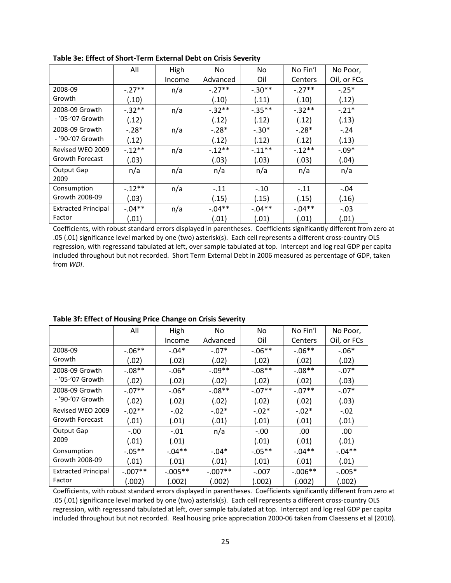|                            | All      | High   | <b>No</b> | No.      | No Fin'l  | No Poor,    |
|----------------------------|----------|--------|-----------|----------|-----------|-------------|
|                            |          | Income | Advanced  | Oil      | Centers   | Oil, or FCs |
| 2008-09                    | $-.27**$ | n/a    | $-.27**$  | $-.30**$ | $-.27**$  | $-.25*$     |
| Growth                     | (.10)    |        | (.10)     | (.11)    | (.10)     | (.12)       |
| 2008-09 Growth             | $-.32**$ | n/a    | $-.32**$  | $-.35**$ | $-.32**$  | $-.21*$     |
| - '05-'07 Growth           | (.12)    |        | (.12)     | (.12)    | (.12)     | (.13)       |
| 2008-09 Growth             | $-.28*$  | n/a    | $-.28*$   | $-.30*$  | $-.28*$   | $-.24$      |
| - '90-'07 Growth           | (.12)    |        | (.12)     | (.12)    | (.12)     | (.13)       |
| Revised WEO 2009           | $-.12**$ | n/a    | $-12**$   | $-.11**$ | $-.12**$  | $-.09*$     |
| Growth Forecast            | (.03)    |        | (.03)     | (.03)    | (.03)     | (.04)       |
| Output Gap                 | n/a      | n/a    | n/a       | n/a      | n/a       | n/a         |
| 2009                       |          |        |           |          |           |             |
| Consumption                | $-.12**$ | n/a    | $-.11$    | $-.10$   | $-.11$    | $-.04$      |
| Growth 2008-09             | (.03)    |        | (.15)     | (.15)    | (.15)     | (.16)       |
| <b>Extracted Principal</b> | $-.04**$ | n/a    | $-04**$   | $-.04**$ | $-0.04**$ | $-.03$      |
| Factor                     | (.01)    |        | (.01)     | (.01)    | (.01)     | (.01)       |

**Table 3e: Effect of Short‐Term External Debt on Crisis Severity**

Coefficients, with robust standard errors displayed in parentheses. Coefficients significantly different from zero at .05 (.01) significance level marked by one (two) asterisk(s). Each cell represents a different cross‐country OLS regression, with regressand tabulated at left, over sample tabulated at top. Intercept and log real GDP per capita included throughout but not recorded. Short Term External Debt in 2006 measured as percentage of GDP, taken from *WDI*.

|                            | All       | High       | No.       | No        | No Fin'l   | No Poor,    |
|----------------------------|-----------|------------|-----------|-----------|------------|-------------|
|                            |           | Income     | Advanced  | Oil       | Centers    | Oil, or FCs |
| 2008-09                    | $-.06**$  | $-.04*$    | $-.07*$   | $-.06***$ | $-06**$    | $-.06*$     |
| Growth                     | (.02)     | (.02)      | (.02)     | (.02)     | (.02)      | (.02)       |
| 2008-09 Growth             | $-.08**$  | $-.06*$    | $-.09**$  | $-.08**$  | $-.08**$   | $-.07*$     |
| - '05-'07 Growth           | (.02)     | (.02)      | (.02)     | (.02)     | (.02)      | (.03)       |
| 2008-09 Growth             | $-.07**$  | $-.06*$    | $-.08**$  | $-07**$   | $-.07**$   | $-.07*$     |
| - '90-'07 Growth           | (.02)     | (.02)      | (.02)     | (.02)     | (.02)      | (.03)       |
| Revised WEO 2009           | $-0.02**$ | $-.02$     | $-.02*$   | $-.02*$   | $-.02*$    | $-.02$      |
| Growth Forecast            | (.01)     | (.01)      | (.01)     | (.01)     | (.01)      | (.01)       |
| Output Gap                 | $-.00$    | $-.01$     | n/a       | $-.00$    | .00        | .00         |
| 2009                       | (.01)     | (.01)      |           | (.01)     | (.01)      | (.01)       |
| Consumption                | $-0.05**$ | $-.04**$   | $-.04*$   | $-0.05**$ | $-.04**$   | $-.04**$    |
| Growth 2008-09             | (.01)     | (.01)      | (.01)     | (.01)     | (.01)      | (.01)       |
| <b>Extracted Principal</b> | $-.007**$ | $-0.005**$ | $-.007**$ | $-.007$   | $-0.006**$ | $-0.005*$   |
| Factor                     | (.002)    | (.002)     | (.002)    | (.002)    | (.002)     | (.002)      |

## **Table 3f: Effect of Housing Price Change on Crisis Severity**

Coefficients, with robust standard errors displayed in parentheses. Coefficients significantly different from zero at .05 (.01) significance level marked by one (two) asterisk(s). Each cell represents a different cross‐country OLS regression, with regressand tabulated at left, over sample tabulated at top. Intercept and log real GDP per capita included throughout but not recorded. Real housing price appreciation 2000‐06 taken from Claessens et al (2010).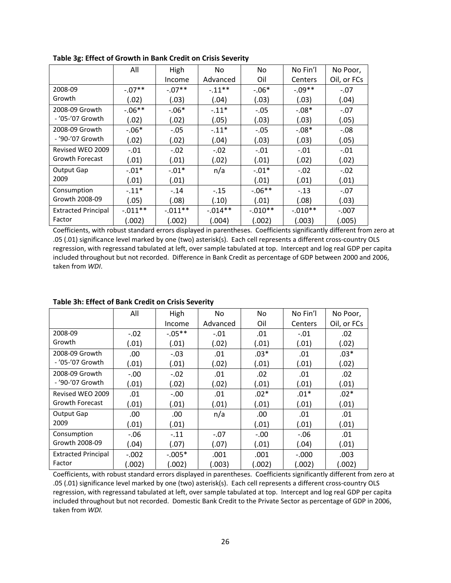|                            | All       | High       | No         | No.       | No Fin'l  | No Poor,    |
|----------------------------|-----------|------------|------------|-----------|-----------|-------------|
|                            |           | Income     | Advanced   | Oil       | Centers   | Oil, or FCs |
| 2008-09                    | $-.07**$  | $-.07**$   | $-.11**$   | $-.06*$   | $-.09**$  | $-.07$      |
| Growth                     | (.02)     | (.03)      | (.04)      | (.03)     | (.03)     | (.04)       |
| 2008-09 Growth             | $-.06**$  | $-0.06*$   | $-.11*$    | $-.05$    | $-.08*$   | $-.07$      |
| - '05-'07 Growth           | (.02)     | (.02)      | (.05)      | (.03)     | (.03)     | (.05)       |
| 2008-09 Growth             | $-.06*$   | $-.05$     | $-.11*$    | $-.05$    | $-.08*$   | $-.08$      |
| - '90-'07 Growth           | (.02)     | (.02)      | (.04)      | (.03)     | (.03)     | (.05)       |
| Revised WEO 2009           | $-.01$    | $-.02$     | $-.02$     | $-.01$    | $-.01$    | $-.01$      |
| <b>Growth Forecast</b>     | (.01)     | (.01)      | (.02)      | (.01)     | (.02)     | (.02)       |
| Output Gap                 | $-.01*$   | $-.01*$    | n/a        | $-.01*$   | $-.02$    | $-.02$      |
| 2009                       | (.01)     | (.01)      |            | (.01)     | (.01)     | (.01)       |
| Consumption                | $-11*$    | $-.14$     | $-.15$     | $-.06**$  | $-.13$    | $-.07$      |
| Growth 2008-09             | (.05)     | (.08)      | (.10)      | (.01)     | (.08)     | (.03)       |
| <b>Extracted Principal</b> | $-.011**$ | $-0.011**$ | $-0.014**$ | $-.010**$ | $-.010**$ | $-.007$     |
| Factor                     | (.002)    | (.002)     | (.004)     | (.002)    | (.003)    | (.005)      |

**Table 3g: Effect of Growth in Bank Credit on Crisis Severity**

Coefficients, with robust standard errors displayed in parentheses. Coefficients significantly different from zero at .05 (.01) significance level marked by one (two) asterisk(s). Each cell represents a different cross‐country OLS regression, with regressand tabulated at left, over sample tabulated at top. Intercept and log real GDP per capita included throughout but not recorded. Difference in Bank Credit as percentage of GDP between 2000 and 2006, taken from *WDI*.

|                            | All     | High      | No.      | No.    | No Fin'l | No Poor,    |
|----------------------------|---------|-----------|----------|--------|----------|-------------|
|                            |         | Income    | Advanced | Oil    | Centers  | Oil, or FCs |
| 2008-09                    | $-.02$  | $-0.05**$ | $-.01$   | .01    | $-.01$   | .02         |
| Growth                     | (.01)   | (.01)     | (.02)    | (.01)  | (.01)    | (.02)       |
| 2008-09 Growth             | .00     | $-.03$    | .01      | $.03*$ | .01      | $.03*$      |
| - '05-'07 Growth           | (.01)   | (.01)     | (.02)    | (.01)  | (.01)    | (.02)       |
| 2008-09 Growth             | $-.00$  | $-.02$    | .01      | .02    | .01      | .02         |
| - '90-'07 Growth           | (.01)   | (.02)     | (.02)    | (.01)  | (.01)    | (.01)       |
| Revised WEO 2009           | .01     | $-.00$    | .01      | $.02*$ | $.01*$   | $.02*$      |
| <b>Growth Forecast</b>     | (.01)   | (.01)     | (.01)    | (.01)  | (.01)    | (.01)       |
| Output Gap                 | .00     | .00       | n/a      | .00    | .01      | .01         |
| 2009                       | (.01)   | (.01)     |          | (.01)  | (.01)    | (.01)       |
| Consumption                | $-0.06$ | $-.11$    | $-.07$   | $-.00$ | -.06     | .01         |
| Growth 2008-09             | (.04)   | (.07)     | (.07)    | (.01)  | (.04)    | (.01)       |
| <b>Extracted Principal</b> | $-.002$ | $-.005*$  | .001     | .001   | $-.000$  | .003        |
| Factor                     | (.002)  | (.002)    | (.003)   | (.002) | (.002)   | (.002)      |

## **Table 3h: Effect of Bank Credit on Crisis Severity**

Coefficients, with robust standard errors displayed in parentheses. Coefficients significantly different from zero at .05 (.01) significance level marked by one (two) asterisk(s). Each cell represents a different cross‐country OLS regression, with regressand tabulated at left, over sample tabulated at top. Intercept and log real GDP per capita included throughout but not recorded. Domestic Bank Credit to the Private Sector as percentage of GDP in 2006, taken from *WDI.*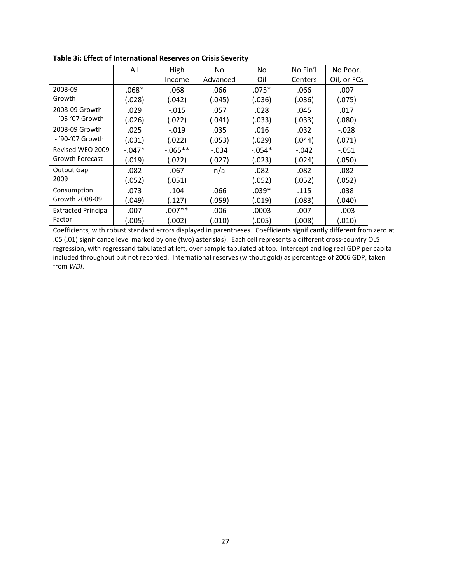|                            | All      | High       | No.      | No       | No Fin'l | No Poor,    |
|----------------------------|----------|------------|----------|----------|----------|-------------|
|                            |          | Income     | Advanced | Oil      | Centers  | Oil, or FCs |
| 2008-09                    | $.068*$  | .068       | .066     | $.075*$  | .066     | .007        |
| Growth                     | (.028)   | (.042)     | (.045)   | (.036)   | (.036)   | (.075)      |
| 2008-09 Growth             | .029     | $-.015$    | .057     | .028     | .045     | .017        |
| - '05-'07 Growth           | (.026)   | (.022)     | (.041)   | (.033)   | (.033)   | (.080)      |
| 2008-09 Growth             | .025     | $-.019$    | .035     | .016     | .032     | $-.028$     |
| - '90-'07 Growth           | (.031)   | (.022)     | (.053)   | (.029)   | (.044)   | (.071)      |
| Revised WEO 2009           | $-.047*$ | $-0.065**$ | $-.034$  | $-.054*$ | $-.042$  | $-.051$     |
| <b>Growth Forecast</b>     | (.019)   | (.022)     | (.027)   | (.023)   | (.024)   | (.050)      |
| Output Gap                 | .082     | .067       | n/a      | .082     | .082     | .082        |
| 2009                       | (.052)   | (.051)     |          | (.052)   | (.052)   | (.052)      |
| Consumption                | .073     | .104       | .066     | $.039*$  | .115     | .038        |
| Growth 2008-09             | (.049)   | (.127)     | (.059)   | (.019)   | (.083)   | (.040)      |
| <b>Extracted Principal</b> | .007     | $.007**$   | .006     | .0003    | .007     | $-.003$     |
| Factor                     | (.005)   | (.002)     | (.010)   | (.005)   | (.008)   | (.010)      |

Coefficients, with robust standard errors displayed in parentheses. Coefficients significantly different from zero at .05 (.01) significance level marked by one (two) asterisk(s). Each cell represents a different cross‐country OLS regression, with regressand tabulated at left, over sample tabulated at top. Intercept and log real GDP per capita included throughout but not recorded. International reserves (without gold) as percentage of 2006 GDP, taken from *WDI*.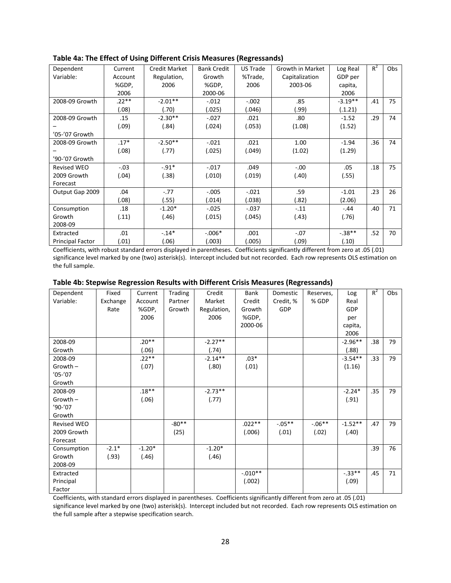| Dependent               | Current | <b>Credit Market</b> | <b>Bank Credit</b> | <b>US Trade</b> | Growth in Market | Log Real  | $R^2$ | Obs |
|-------------------------|---------|----------------------|--------------------|-----------------|------------------|-----------|-------|-----|
| Variable:               | Account | Regulation,          | Growth             | %Trade,         | Capitalization   | GDP per   |       |     |
|                         | %GDP,   | 2006                 | %GDP,              | 2006            | 2003-06          | capita,   |       |     |
|                         | 2006    |                      | 2000-06            |                 |                  | 2006      |       |     |
| 2008-09 Growth          | $.22**$ | $-2.01**$            | $-.012$            | $-.002$         | .85              | $-3.19**$ | .41   | 75  |
|                         | (.08)   | (.70)                | (.025)             | (.046)          | (99).            | (.1.21)   |       |     |
| 2008-09 Growth          | .15     | $-2.30**$            | $-.027$            | .021            | .80              | $-1.52$   | .29   | 74  |
|                         | (.09)   | (.84)                | (.024)             | (.053)          | (1.08)           | (1.52)    |       |     |
| '05-'07 Growth          |         |                      |                    |                 |                  |           |       |     |
| 2008-09 Growth          | $.17*$  | $-2.50**$            | $-.021$            | .021            | 1.00             | $-1.94$   | .36   | 74  |
|                         | (.08)   | (.77)                | (.025)             | (.049)          | (1.02)           | (1.29)    |       |     |
| '90-'07 Growth          |         |                      |                    |                 |                  |           |       |     |
| <b>Revised WEO</b>      | $-.03$  | $-.91*$              | $-.017$            | .049            | $-.00$           | .05       | .18   | 75  |
| 2009 Growth             | (.04)   | (.38)                | (.010)             | (.019)          | (.40)            | (.55)     |       |     |
| Forecast                |         |                      |                    |                 |                  |           |       |     |
| Output Gap 2009         | .04     | $-.77$               | $-.005$            | $-.021$         | .59              | $-1.01$   | .23   | 26  |
|                         | (.08)   | (.55)                | (.014)             | (.038)          | (.82)            | (2.06)    |       |     |
| Consumption             | .18     | $-1.20*$             | $-.025$            | $-.037$         | $-.11$           | $-.44$    | .40   | 71  |
| Growth                  | (.11)   | (.46)                | (.015)             | (.045)          | (.43)            | (.76)     |       |     |
| 2008-09                 |         |                      |                    |                 |                  |           |       |     |
| Extracted               | .01     | $-.14*$              | $-.006*$           | .001            | $-.07$           | $-.38**$  | .52   | 70  |
| <b>Principal Factor</b> | (01)    | (.06)                | (.003)             | (.005)          | (.09)            | (.10)     |       |     |

**Table 4a: The Effect of Using Different Crisis Measures (Regressands)**

Coefficients, with robust standard errors displayed in parentheses. Coefficients significantly different from zero at .05 (.01) significance level marked by one (two) asterisk(s). Intercept included but not recorded. Each row represents OLS estimation on the full sample.

| Table 4b: Stepwise Regression Results with Different Crisis Measures (Regressands) |  |  |
|------------------------------------------------------------------------------------|--|--|
|------------------------------------------------------------------------------------|--|--|

| Dependent   | Fixed    | Current  | <b>Trading</b> | Credit      | Bank      | Domestic  | Reserves, | Log       | $R^2$            | Obs |
|-------------|----------|----------|----------------|-------------|-----------|-----------|-----------|-----------|------------------|-----|
| Variable:   | Exchange | Account  | Partner        | Market      | Credit    | Credit, % | % GDP     | Real      |                  |     |
|             | Rate     | %GDP,    | Growth         | Regulation, | Growth    | GDP       |           | GDP       |                  |     |
|             |          | 2006     |                | 2006        | %GDP,     |           |           | per       |                  |     |
|             |          |          |                |             | 2000-06   |           |           | capita,   |                  |     |
|             |          |          |                |             |           |           |           | 2006      |                  |     |
| 2008-09     |          | $.20**$  |                | $-2.27**$   |           |           |           | $-2.96**$ | .38              | 79  |
| Growth      |          | (.06)    |                | (.74)       |           |           |           | (.88)     |                  |     |
| 2008-09     |          | $.22**$  |                | $-2.14**$   | $.03*$    |           |           | $-3.54**$ | .33 <sub>1</sub> | 79  |
| Growth -    |          | (.07)    |                | (.80)       | (.01)     |           |           | (1.16)    |                  |     |
| $'05-'07$   |          |          |                |             |           |           |           |           |                  |     |
| Growth      |          |          |                |             |           |           |           |           |                  |     |
| 2008-09     |          | $.18**$  |                | $-2.73**$   |           |           |           | $-2.24*$  | .35              | 79  |
| Growth -    |          | (.06)    |                | (.77)       |           |           |           | (.91)     |                  |     |
| '90-'07     |          |          |                |             |           |           |           |           |                  |     |
| Growth      |          |          |                |             |           |           |           |           |                  |     |
| Revised WEO |          |          | $-80**$        |             | $.022**$  | $-.05**$  | $-.06**$  | $-1.52**$ | .47              | 79  |
| 2009 Growth |          |          | (25)           |             | (.006)    | (.01)     | (.02)     | (.40)     |                  |     |
| Forecast    |          |          |                |             |           |           |           |           |                  |     |
| Consumption | $-2.1*$  | $-1.20*$ |                | $-1.20*$    |           |           |           |           | .39              | 76  |
| Growth      | (.93)    | (.46)    |                | (.46)       |           |           |           |           |                  |     |
| 2008-09     |          |          |                |             |           |           |           |           |                  |     |
| Extracted   |          |          |                |             | $-.010**$ |           |           | $-.33**$  | .45              | 71  |
| Principal   |          |          |                |             | (.002)    |           |           | (.09)     |                  |     |
| Factor      |          |          |                |             |           |           |           |           |                  |     |

Coefficients, with standard errors displayed in parentheses. Coefficients significantly different from zero at .05 (.01) significance level marked by one (two) asterisk(s). Intercept included but not recorded. Each row represents OLS estimation on the full sample after a stepwise specification search.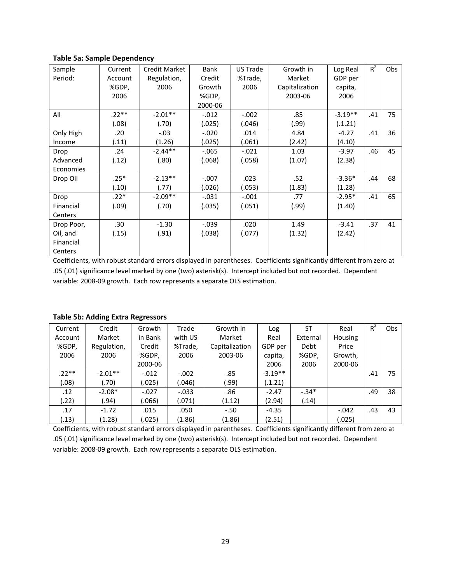## **Table 5a: Sample Dependency**

|            | Current | <b>Credit Market</b> | <b>Bank</b> | US Trade | Growth in      |           | $R^2$ | Obs |
|------------|---------|----------------------|-------------|----------|----------------|-----------|-------|-----|
| Sample     |         |                      |             |          |                | Log Real  |       |     |
| Period:    | Account | Regulation,          | Credit      | %Trade,  | Market         | GDP per   |       |     |
|            | %GDP,   | 2006                 | Growth      | 2006     | Capitalization | capita,   |       |     |
|            | 2006    |                      | %GDP,       |          | 2003-06        | 2006      |       |     |
|            |         |                      | 2000-06     |          |                |           |       |     |
| All        | $.22**$ | $-2.01**$            | $-.012$     | $-.002$  | .85            | $-3.19**$ | .41   | 75  |
|            | (.08)   | (.70)                | (.025)      | (.046)   | (99.)          | (.1.21)   |       |     |
| Only High  | .20     | $-.03$               | $-.020$     | .014     | 4.84           | $-4.27$   | .41   | 36  |
| Income     | (.11)   | (1.26)               | (.025)      | (.061)   | (2.42)         | (4.10)    |       |     |
| Drop       | .24     | $-2.44**$            | $-0.065$    | $-.021$  | 1.03           | $-3.97$   | .46   | 45  |
| Advanced   | (.12)   | (.80)                | (.068)      | (.058)   | (1.07)         | (2.38)    |       |     |
| Economies  |         |                      |             |          |                |           |       |     |
| Drop Oil   | $.25*$  | $-2.13**$            | $-.007$     | .023     | .52            | $-3.36*$  | .44   | 68  |
|            | (.10)   | (.77)                | (.026)      | (.053)   | (1.83)         | (1.28)    |       |     |
| Drop       | $.22*$  | $-2.09**$            | $-.031$     | $-.001$  | .77            | $-2.95*$  | .41   | 65  |
| Financial  | (.09)   | (.70)                | (.035)      | (.051)   | (.99)          | (1.40)    |       |     |
| Centers    |         |                      |             |          |                |           |       |     |
| Drop Poor, | .30     | $-1.30$              | $-.039$     | .020     | 1.49           | $-3.41$   | .37   | 41  |
| Oil, and   | (.15)   | (.91)                | (.038)      | (.077)   | (1.32)         | (2.42)    |       |     |
| Financial  |         |                      |             |          |                |           |       |     |
| Centers    |         |                      |             |          |                |           |       |     |

Coefficients, with robust standard errors displayed in parentheses. Coefficients significantly different from zero at .05 (.01) significance level marked by one (two) asterisk(s). Intercept included but not recorded. Dependent variable: 2008‐09 growth. Each row represents a separate OLS estimation.

| Current | Credit      | Growth  | Trade    | Growth in      | Log       | ST       | Real           | $R^2$ | Obs |
|---------|-------------|---------|----------|----------------|-----------|----------|----------------|-------|-----|
| Account | Market      | in Bank | with US  | Market         | Real      | External | <b>Housing</b> |       |     |
| %GDP,   | Regulation, | Credit  | %Trade,  | Capitalization | GDP per   | Debt     | Price          |       |     |
| 2006    | 2006        | %GDP,   | 2006     | 2003-06        | capita,   | %GDP,    | Growth.        |       |     |
|         |             | 2000-06 |          |                | 2006      | 2006     | 2000-06        |       |     |
| $.22**$ | $-2.01**$   | $-.012$ | $-.002$  | .85            | $-3.19**$ |          |                | .41   | 75  |
| (0.08)  | (.70)       | (.025)  | (.046)   | (99.)          | (.1.21)   |          |                |       |     |
| .12     | $-2.08*$    | $-.027$ | $-0.033$ | .86            | $-2.47$   | $-34*$   |                | .49   | 38  |
| (.22)   | (94.)       | (.066)  | (.071)   | (1.12)         | (2.94)    | (.14)    |                |       |     |
| .17     | $-1.72$     | .015    | .050     | $-.50$         | $-4.35$   |          | $-.042$        | .43   | 43  |
| (.13)   | (1.28)      | (.025)  | (1.86)   | (1.86)         | (2.51)    |          | (.025)         |       |     |

### **Table 5b: Adding Extra Regressors**

Coefficients, with robust standard errors displayed in parentheses. Coefficients significantly different from zero at .05 (.01) significance level marked by one (two) asterisk(s). Intercept included but not recorded. Dependent variable: 2008‐09 growth. Each row represents a separate OLS estimation.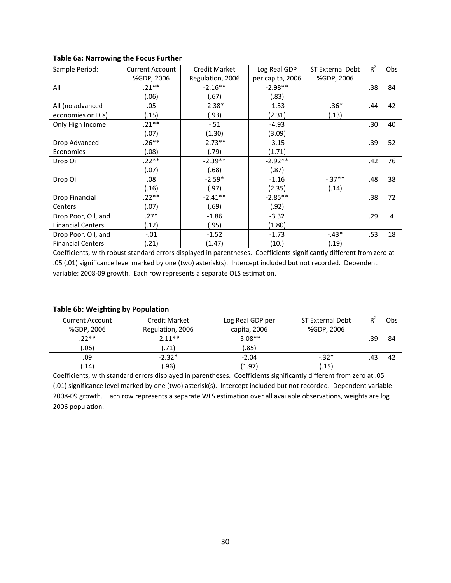| Sample Period:           | <b>Current Account</b> | <b>Credit Market</b> | Log Real GDP     | <b>ST External Debt</b> | $R^2$ | Obs |
|--------------------------|------------------------|----------------------|------------------|-------------------------|-------|-----|
|                          | %GDP, 2006             | Regulation, 2006     | per capita, 2006 | %GDP, 2006              |       |     |
| All                      | $.21**$                | $-2.16**$            | $-2.98**$        |                         | .38   | 84  |
|                          | (.06)                  | (.67)                | (.83)            |                         |       |     |
| All (no advanced         | .05                    | $-2.38*$             | $-1.53$          | $-.36*$                 | .44   | 42  |
| economies or FCs)        | (.15)                  | (.93)                | (2.31)           | (.13)                   |       |     |
| Only High Income         | $.21***$               | $-.51$               | $-4.93$          |                         | .30   | 40  |
|                          | (.07)                  | (1.30)               | (3.09)           |                         |       |     |
| Drop Advanced            | $.26**$                | $-2.73**$            | $-3.15$          |                         | .39   | 52  |
| Economies                | (.08)                  | (.79)                | (1.71)           |                         |       |     |
| Drop Oil                 | $.22**$                | $-2.39**$            | $-2.92**$        |                         | .42   | 76  |
|                          | (.07)                  | (.68)                | (.87)            |                         |       |     |
| Drop Oil                 | .08                    | $-2.59*$             | $-1.16$          | $-0.37**$               | .48   | 38  |
|                          | (.16)                  | (.97)                | (2.35)           | (.14)                   |       |     |
| Drop Financial           | $.22**$                | $-2.41**$            | $-2.85**$        |                         | .38   | 72  |
| Centers                  | (.07)                  | (.69)                | (.92)            |                         |       |     |
| Drop Poor, Oil, and      | $.27*$                 | $-1.86$              | $-3.32$          |                         | .29   | 4   |
| <b>Financial Centers</b> | (.12)                  | (.95)                | (1.80)           |                         |       |     |
| Drop Poor, Oil, and      | $-.01$                 | $-1.52$              | $-1.73$          | $-.43*$                 | .53   | 18  |
| <b>Financial Centers</b> | (.21)                  | (1.47)               | (10.)            | (.19)                   |       |     |

## **Table 6a: Narrowing the Focus Further**

Coefficients, with robust standard errors displayed in parentheses. Coefficients significantly different from zero at .05 (.01) significance level marked by one (two) asterisk(s). Intercept included but not recorded. Dependent variable: 2008‐09 growth. Each row represents a separate OLS estimation.

## **Table 6b: Weighting by Population**

| <b>Current Account</b> | <b>Credit Market</b> | Log Real GDP per | <b>ST External Debt</b> | R.  | Obs |
|------------------------|----------------------|------------------|-------------------------|-----|-----|
| %GDP, 2006             | Regulation, 2006     | capita, 2006     | %GDP, 2006              |     |     |
| $.22**$                | $-2.11**$            | $-3.08**$        |                         | .39 | 84  |
| .06)                   | .71)                 | (.85)            |                         |     |     |
| .09                    | $-2.32*$             | $-2.04$          | $-.32*$                 | .43 | 42  |
| .14)                   | .96)                 | (1.97)           | (.15)                   |     |     |

Coefficients, with standard errors displayed in parentheses. Coefficients significantly different from zero at .05 (.01) significance level marked by one (two) asterisk(s). Intercept included but not recorded. Dependent variable: 2008‐09 growth. Each row represents a separate WLS estimation over all available observations, weights are log 2006 population.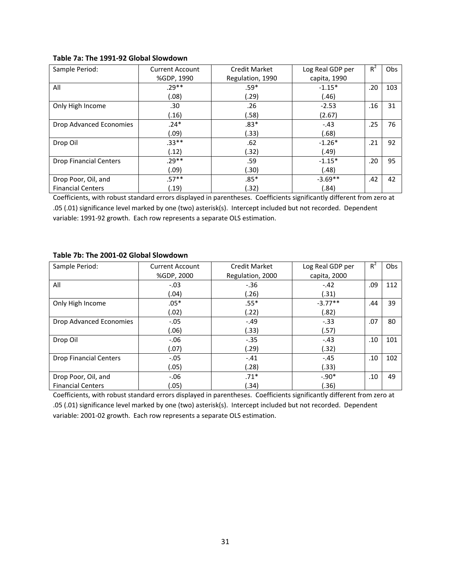|  | Table 7a: The 1991-92 Global Slowdown |  |  |
|--|---------------------------------------|--|--|
|--|---------------------------------------|--|--|

| Sample Period:                | <b>Current Account</b> | <b>Credit Market</b> | Log Real GDP per | $R^2$ | <b>Obs</b> |
|-------------------------------|------------------------|----------------------|------------------|-------|------------|
|                               | %GDP, 1990             | Regulation, 1990     | capita, 1990     |       |            |
| All                           | $.29**$                | $.59*$               | $-1.15*$         | .20   | 103        |
|                               | (.08)                  | (.29)                | (.46)            |       |            |
| Only High Income              | .30                    | .26                  | $-2.53$          | .16   | 31         |
|                               | (.16)                  | (.58)                | (2.67)           |       |            |
| Drop Advanced Economies       | $.24*$                 | $.83*$               | $-.43$           | .25   | 76         |
|                               | (.09)                  | (.33)                | (.68)            |       |            |
| Drop Oil                      | $.33**$                | .62                  | $-1.26*$         | .21   | 92         |
|                               | (.12)                  | (.32)                | (.49)            |       |            |
| <b>Drop Financial Centers</b> | $.29**$                | .59                  | $-1.15*$         | .20   | 95         |
|                               | (.09)                  | (.30)                | (.48)            |       |            |
| Drop Poor, Oil, and           | $.57**$                | $.85*$               | $-3.69**$        | .42   | 42         |
| <b>Financial Centers</b>      | (.19)                  | (.32)                | (.84)            |       |            |

Coefficients, with robust standard errors displayed in parentheses. Coefficients significantly different from zero at .05 (.01) significance level marked by one (two) asterisk(s). Intercept included but not recorded. Dependent variable: 1991‐92 growth. Each row represents a separate OLS estimation.

## **Table 7b: The 2001‐02 Global Slowdown**

| Sample Period:                | <b>Current Account</b> | <b>Credit Market</b> | Log Real GDP per | $R^2$ | <b>Obs</b> |
|-------------------------------|------------------------|----------------------|------------------|-------|------------|
|                               | %GDP, 2000             | Regulation, 2000     | capita, 2000     |       |            |
| All                           | $-.03$                 | $-.36$               | $-.42$           | .09   | 112        |
|                               | (.04)                  | (.26)                | (.31)            |       |            |
| Only High Income              | $.05*$                 | $.55*$               | $-3.77**$        | .44   | 39         |
|                               | (.02)                  | (.22)                | (.82)            |       |            |
| Drop Advanced Economies       | $-.05$                 | $-.49$               | $-.33$           | .07   | 80         |
|                               | (.06)                  | (.33)                | (.57)            |       |            |
| Drop Oil                      | $-0.06$                | $-.35$               | $-.43$           | .10   | 101        |
|                               | (.07)                  | (.29)                | (.32)            |       |            |
| <b>Drop Financial Centers</b> | $-.05$                 | $-.41$               | $-.45$           | .10   | 102        |
|                               | (.05)                  | (.28)                | (.33)            |       |            |
| Drop Poor, Oil, and           | $-0.06$                | $.71*$               | $-.90*$          | .10   | 49         |
| <b>Financial Centers</b>      | (.05)                  | (.34)                | (.36)            |       |            |

Coefficients, with robust standard errors displayed in parentheses. Coefficients significantly different from zero at .05 (.01) significance level marked by one (two) asterisk(s). Intercept included but not recorded. Dependent variable: 2001‐02 growth. Each row represents a separate OLS estimation.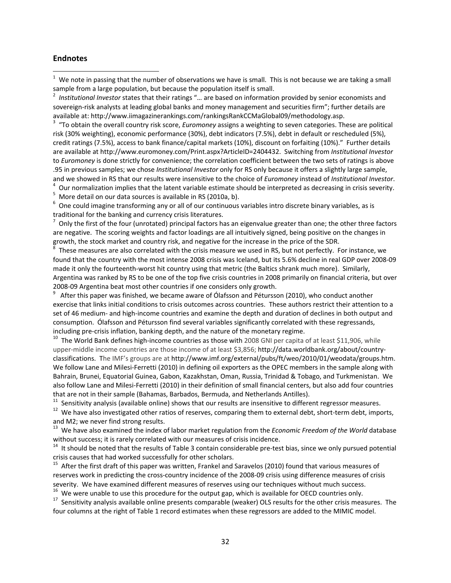## **Endnotes**

 $1$  We note in passing that the number of observations we have is small. This is not because we are taking a small sample from a large population, but because the population itself is small.

 *Institutional Investor* states that their ratings "… are based on information provided by senior economists and sovereign-risk analysts at leading global banks and money management and securities firm"; further details are available at: http://www.iimagazinerankings.com/rankingsRankCCMaGlobal09/methodology.asp. <sup>3</sup>

 "To obtain the overall country risk score, *Euromoney* assigns a weighting to seven categories. These are political risk (30% weighting), economic performance (30%), debt indicators (7.5%), debt in default or rescheduled (5%), credit ratings (7.5%), access to bank finance/capital markets (10%), discount on forfaiting (10%)." Further details are available at http://www.euromoney.com/Print.aspx?ArticleID=2404432. Switching from *Institutional Investor* to *Euromoney* is done strictly for convenience; the correlation coefficient between the two sets of ratings is above .95 in previous samples; we chose *Institutional Investor* only for RS only because it offers a slightly large sample, and we showed in RS that our results were insensitive to the choice of *Euromoney* instead of *Institutional Investor*. <sup>4</sup>

Our normalization implies that the latent variable estimate should be interpreted as decreasing in crisis severity. <sup>5</sup>

More detail on our data sources is available in RS (2010a, b).

 $6$  One could imagine transforming any or all of our continuous variables intro discrete binary variables, as is traditional for the banking and currency crisis literatures. <sup>7</sup>

 $^7$  Only the first of the four (unrotated) principal factors has an eigenvalue greater than one; the other three factors are negative. The scoring weights and factor loadings are all intuitively signed, being positive on the changes in growth, the stock market and country risk, and negative for the increase in the price of the SDR. <sup>8</sup>

 $^{\overline{8}}$  These measures are also correlated with the crisis measure we used in RS, but not perfectly. For instance, we found that the country with the most intense 2008 crisis was Iceland, but its 5.6% decline in real GDP over 2008‐09 made it only the fourteenth-worst hit country using that metric (the Baltics shrank much more). Similarly, Argentina was ranked by RS to be one of the top five crisis countries in 2008 primarily on financial criteria, but over 2008-09 Argentina beat most other countries if one considers only growth.

 After this paper was finished, we became aware of Ólafsson and Pétursson (2010), who conduct another exercise that links initial conditions to crisis outcomes across countries. These authors restrict their attention to a set of 46 medium- and high-income countries and examine the depth and duration of declines in both output and consumption. Ólafsson and Pétursson find several variables significantly correlated with these regressands, including pre-crisis inflation, banking depth, and the nature of the monetary regime.<br><sup>10</sup> The World Bank defines high-income countries as those with 2008 GNI per capita of at least \$11,906, while

upper-middle income countries are those income of at least \$3,856; http://data.worldbank.org/about/countryclassifications. The IMF's groups are at http://www.imf.org/external/pubs/ft/weo/2010/01/weodata/groups.htm. We follow Lane and Milesi-Ferretti (2010) in defining oil exporters as the OPEC members in the sample along with Bahrain, Brunei, Equatorial Guinea, Gabon, Kazakhstan, Oman, Russia, Trinidad & Tobago, and Turkmenistan. We also follow Lane and Milesi‐Ferretti (2010) in their definition of small financial centers, but also add four countries that are not in their sample (Bahamas, Barbados, Bermuda, and Netherlands Antilles).<br><sup>11</sup> Sensitivity analysis (available online) shows that our results are insensitive to different regressor measures.<br><sup>12</sup> We have also in

and M2; we never find strong results.<br><sup>13</sup> We have also examined the index of labor market regulation from the *Economic Freedom of the World* database<br>without success; it is rarely correlated with our measures of crisis i

 $14$  It should be noted that the results of Table 3 contain considerable pre-test bias, since we only pursued potential crisis causes that had worked successfully for other scholars.<br><sup>15</sup> After the first draft of this paper was written, Frankel and Saravelos (2010) found that various measures of

reserves work in predicting the cross‐country incidence of the 2008‐09 crisis using difference measures of crisis severity. We have examined different measures of reserves using our techniques without much success.<br><sup>16</sup> We were unable to use this procedure for the output gap, which is available for OECD countries only.<br><sup>17</sup> Sensitivit

four columns at the right of Table 1 record estimates when these regressors are added to the MIMIC model.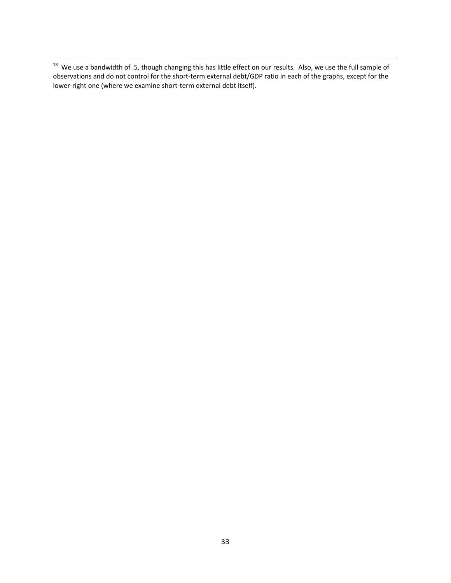<sup>18</sup> We use a bandwidth of .5, though changing this has little effect on our results. Also, we use the full sample of observations and do not control for the short‐term external debt/GDP ratio in each of the graphs, except for the lower-right one (where we examine short-term external debt itself).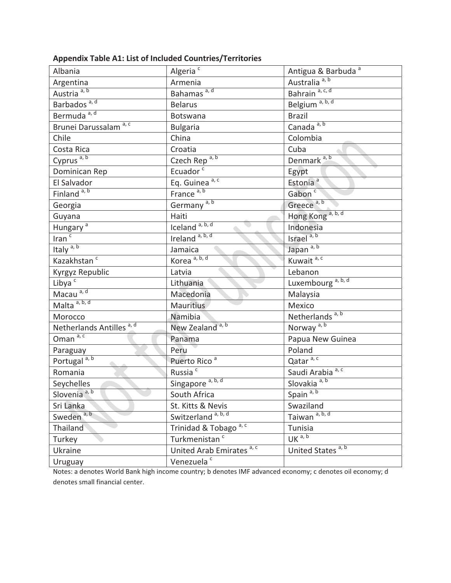| Albania                              | Algeria <sup>c</sup>                 | Antigua & Barbuda <sup>a</sup> |
|--------------------------------------|--------------------------------------|--------------------------------|
| Argentina                            | Armenia                              | Australia <sup>a, b</sup>      |
| Austria <sup>a, b</sup>              | Bahamas <sup>a, d</sup>              | Bahrain <sup>a, c, d</sup>     |
| Barbados <sup>a, d</sup>             | <b>Belarus</b>                       | Belgium <sup>a, b, d</sup>     |
| Bermuda <sup>a, d</sup>              | Botswana                             | <b>Brazil</b>                  |
| Brunei Darussalam <sup>a, c</sup>    | <b>Bulgaria</b>                      | Canada <sup>a, b</sup>         |
| Chile                                | China                                | Colombia                       |
| Costa Rica                           | Croatia                              | Cuba                           |
| Cyprus <sup>a, b</sup>               | Czech Rep <sup>a, b</sup>            | Denmark <sup>a, b</sup>        |
| Dominican Rep                        | Ecuador <sup>c</sup>                 | Egypt                          |
| El Salvador                          | Eq. Guinea <sup>a, c</sup>           | Estonia <sup>a</sup>           |
| Finland <sup>a, b</sup>              | France <sup>a, b</sup>               | Gabon <sup>c</sup>             |
| Georgia                              | Germany <sup>a, b</sup>              | Greece <sup>a, b</sup>         |
| Guyana                               | Haiti                                | Hong Kong <sup>a, b, d</sup>   |
| Hungary <sup>a</sup>                 | Iceland <sup>a, b, d</sup>           | Indonesia                      |
| Iran $\overline{c}$                  | Ireland <sup>a, b, d</sup>           | Israel <sup>a, b</sup>         |
| Italy $a, b$                         | Jamaica                              | Japan <sup>a, b</sup>          |
| Kazakhstan <sup>c</sup>              | Korea <sup>a, b, d</sup>             | Kuwait <sup>a, c</sup>         |
| Kyrgyz Republic                      | Latvia                               | Lebanon                        |
| Libya <sup>c</sup>                   | Lithuania                            | Luxembourg <sup>a, b, d</sup>  |
| Macau <sup>a, d</sup>                | Macedonia                            | Malaysia                       |
| Malta <sup>a, b, d</sup>             | <b>Mauritius</b>                     | Mexico                         |
| Morocco                              | Namibia                              | Netherlands <sup>a, b</sup>    |
| Netherlands Antilles <sup>a, d</sup> | New Zealand <sup>a, b</sup>          | Norway <sup>a, b</sup>         |
| Oman $a, c$                          | Panama                               | Papua New Guinea               |
| Paraguay                             | Peru                                 | Poland                         |
| Portugal <sup>a, b</sup>             | Puerto Rico <sup>a</sup>             | Qatar <sup>a, c</sup>          |
| Romania                              | Russia <sup>c</sup>                  | Saudi Arabia <sup>a, c</sup>   |
| Seychelles                           | Singapore <sup>a, b, d</sup>         | Slovakia <sup>a, b</sup>       |
| Slovenia <sup>a, b</sup>             | South Africa                         | Spain <sup>a, b</sup>          |
| Sri Lanka                            | St. Kitts & Nevis                    | Swaziland                      |
| Sweden <sup>a, b</sup>               | Switzerland <sup>a, b, d</sup>       | Taiwan <sup>a, b, d</sup>      |
| Thailand                             | Trinidad & Tobago <sup>a, c</sup>    | Tunisia                        |
| Turkey                               | Turkmenistan <sup>c</sup>            | UK <sup>a, b</sup>             |
| Ukraine                              | United Arab Emirates <sup>a, c</sup> | United States <sup>a, b</sup>  |
| Uruguay                              | Venezuela <sup>c</sup>               |                                |

**Appendix Table A1: List of Included Countries/Territories** 

Notes: a denotes World Bank high income country; b denotes IMF advanced economy; c denotes oil economy; d denotes small financial center.